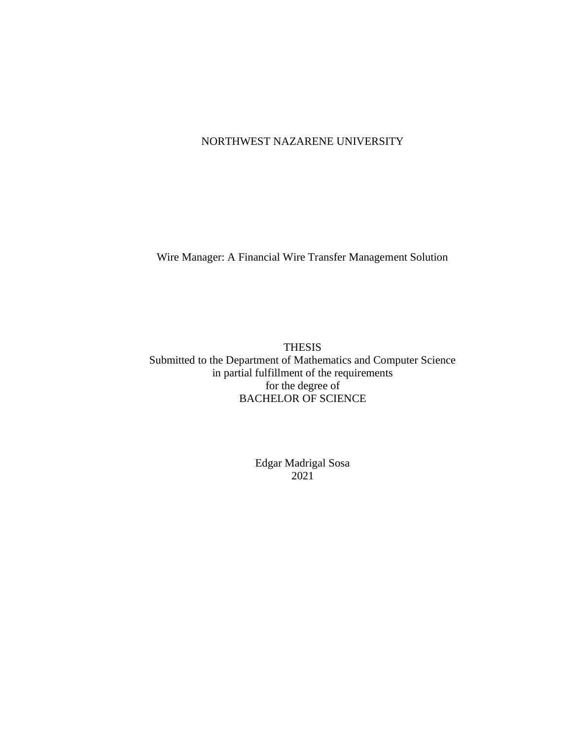## NORTHWEST NAZARENE UNIVERSITY

Wire Manager: A Financial Wire Transfer Management Solution

**THESIS** Submitted to the Department of Mathematics and Computer Science in partial fulfillment of the requirements for the degree of **BACHELOR OF SCIENCE** 

> **Edgar Madrigal Sosa**  $2021$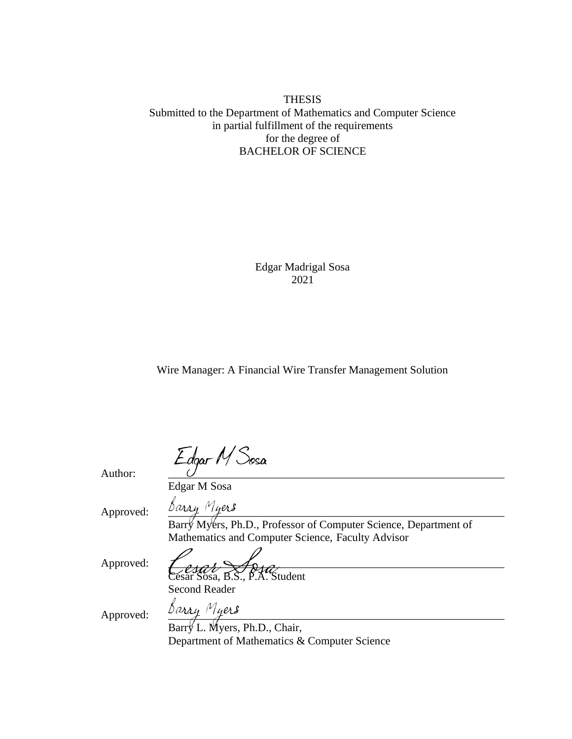## **THESIS** Submitted to the Department of Mathematics and Computer Science in partial fulfillment of the requirements for the degree of **BACHELOR OF SCIENCE**

**Edgar Madrigal Sosa** 2021

Wire Manager: A Financial Wire Transfer Management Solution

Edgar M<sup>S</sup>osa

Author:

Edgar M Sosa

Approved:

 $\frac{\beta \alpha \chi \chi}{\beta}$  Myers, Ph.D., Professor of Computer Science, Department of Mathematics and Computer Science, Faculty Advisor

Approved:

Cesar Sosa, B.S., P.A. Student

**Second Reader** 

Approved:

Barry Myers<br>Barry L. Myers, Ph.D., Chair, Department of Mathematics & Computer Science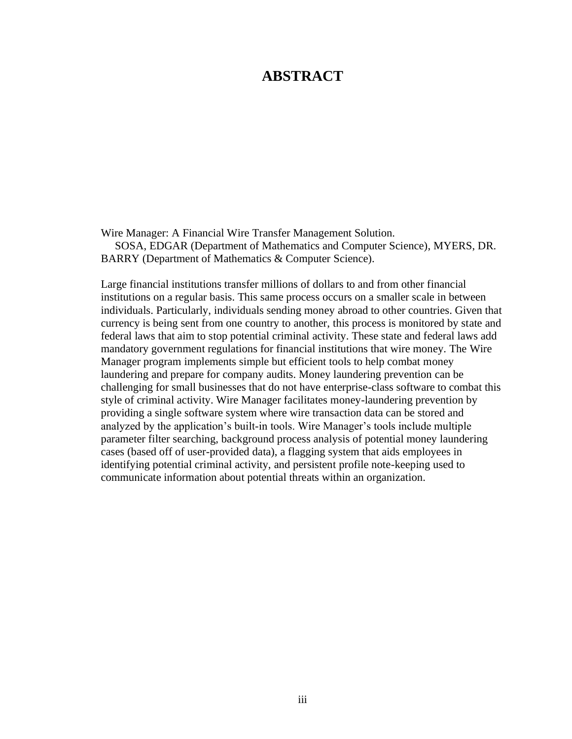## **ABSTRACT**

Wire Manager: A Financial Wire Transfer Management Solution. SOSA, EDGAR (Department of Mathematics and Computer Science), MYERS, DR. BARRY (Department of Mathematics & Computer Science).

Large financial institutions transfer millions of dollars to and from other financial institutions on a regular basis. This same process occurs on a smaller scale in between individuals. Particularly, individuals sending money abroad to other countries. Given that currency is being sent from one country to another, this process is monitored by state and federal laws that aim to stop potential criminal activity. These state and federal laws add mandatory government regulations for financial institutions that wire money. The Wire Manager program implements simple but efficient tools to help combat money laundering and prepare for company audits. Money laundering prevention can be challenging for small businesses that do not have enterprise-class software to combat this style of criminal activity. Wire Manager facilitates money-laundering prevention by providing a single software system where wire transaction data can be stored and analyzed by the application's built-in tools. Wire Manager's tools include multiple parameter filter searching, background process analysis of potential money laundering cases (based off of user-provided data), a flagging system that aids employees in identifying potential criminal activity, and persistent profile note-keeping used to communicate information about potential threats within an organization.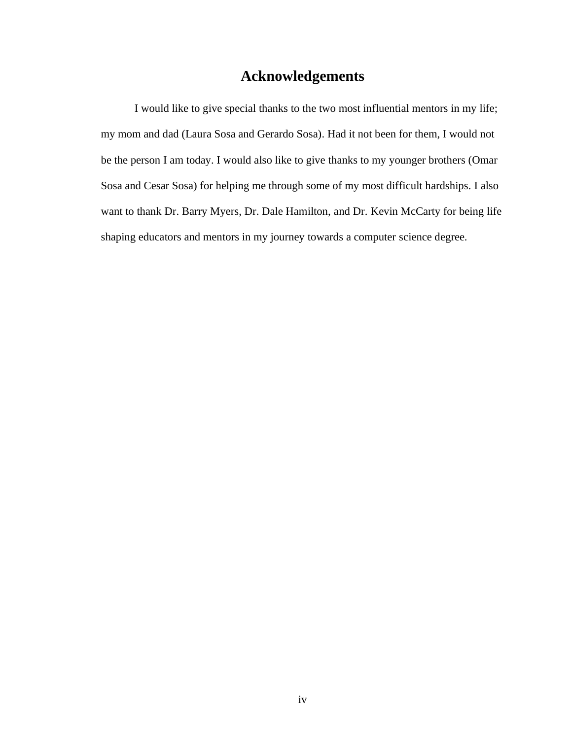## **Acknowledgements**

I would like to give special thanks to the two most influential mentors in my life; my mom and dad (Laura Sosa and Gerardo Sosa). Had it not been for them, I would not be the person I am today. I would also like to give thanks to my younger brothers (Omar Sosa and Cesar Sosa) for helping me through some of my most difficult hardships. I also want to thank Dr. Barry Myers, Dr. Dale Hamilton, and Dr. Kevin McCarty for being life shaping educators and mentors in my journey towards a computer science degree.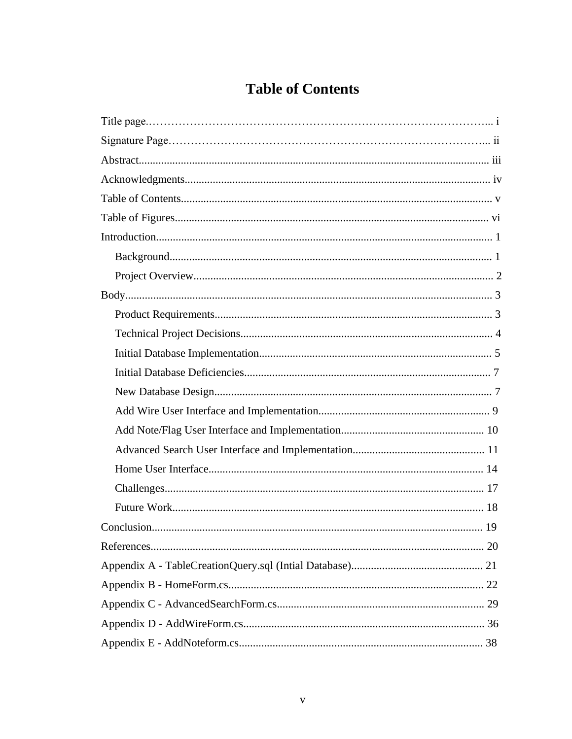# **Table of Contents**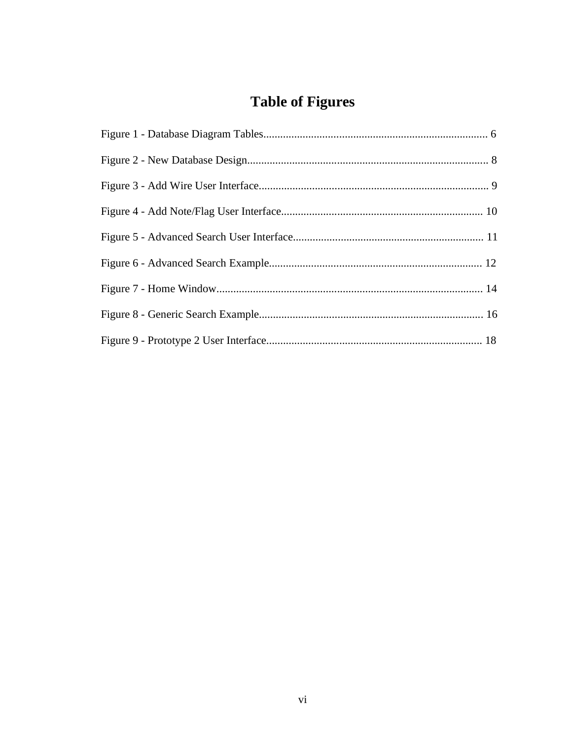# **Table of Figures**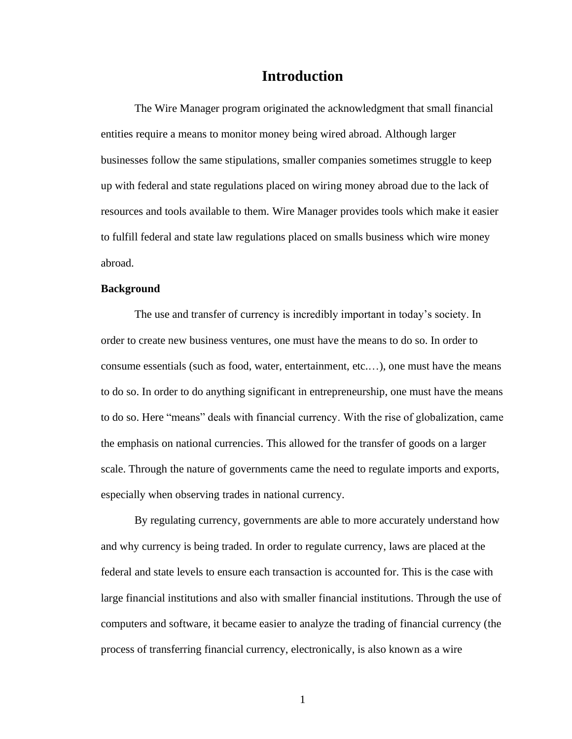## **Introduction**

The Wire Manager program originated the acknowledgment that small financial entities require a means to monitor money being wired abroad. Although larger businesses follow the same stipulations, smaller companies sometimes struggle to keep up with federal and state regulations placed on wiring money abroad due to the lack of resources and tools available to them. Wire Manager provides tools which make it easier to fulfill federal and state law regulations placed on smalls business which wire money abroad.

## **Background**

The use and transfer of currency is incredibly important in today's society. In order to create new business ventures, one must have the means to do so. In order to consume essentials (such as food, water, entertainment, etc....), one must have the means to do so. In order to do anything significant in entrepreneurship, one must have the means to do so. Here "means" deals with financial currency. With the rise of globalization, came the emphasis on national currencies. This allowed for the transfer of goods on a larger scale. Through the nature of governments came the need to regulate imports and exports, especially when observing trades in national currency.

By regulating currency, governments are able to more accurately understand how and why currency is being traded. In order to regulate currency, laws are placed at the federal and state levels to ensure each transaction is accounted for. This is the case with large financial institutions and also with smaller financial institutions. Through the use of computers and software, it became easier to analyze the trading of financial currency (the process of transferring financial currency, electronically, is also known as a wire

 $\mathbf{1}$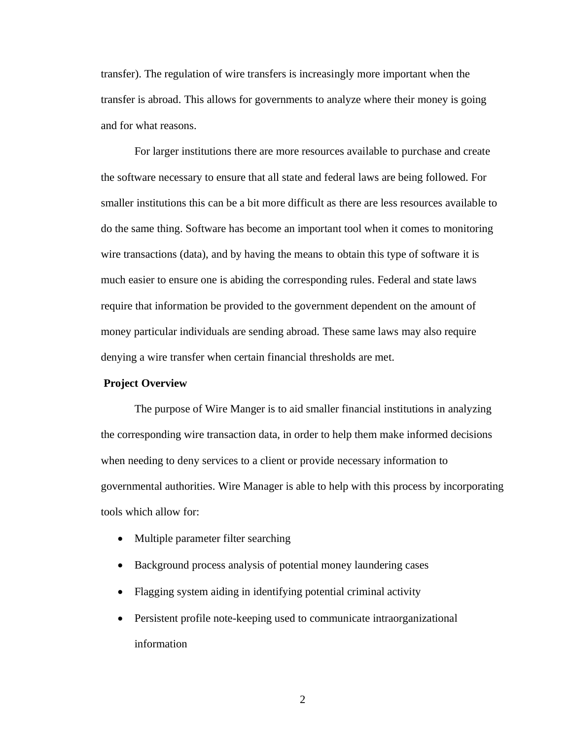transfer). The regulation of wire transfers is increasingly more important when the transfer is abroad. This allows for governments to analyze where their money is going and for what reasons.

For larger institutions there are more resources available to purchase and create the software necessary to ensure that all state and federal laws are being followed. For smaller institutions this can be a bit more difficult as there are less resources available to do the same thing. Software has become an important tool when it comes to monitoring wire transactions (data), and by having the means to obtain this type of software it is much easier to ensure one is abiding the corresponding rules. Federal and state laws require that information be provided to the government dependent on the amount of money particular individuals are sending abroad. These same laws may also require denying a wire transfer when certain financial thresholds are met.

### **Project Overview**

The purpose of Wire Manger is to aid smaller financial institutions in analyzing the corresponding wire transaction data, in order to help them make informed decisions when needing to deny services to a client or provide necessary information to governmental authorities. Wire Manager is able to help with this process by incorporating tools which allow for:

- $\bullet$ Multiple parameter filter searching
- Background process analysis of potential money laundering cases  $\bullet$
- Flagging system aiding in identifying potential criminal activity  $\bullet$
- Persistent profile note-keeping used to communicate intraorganizational  $\bullet$ information

 $\overline{2}$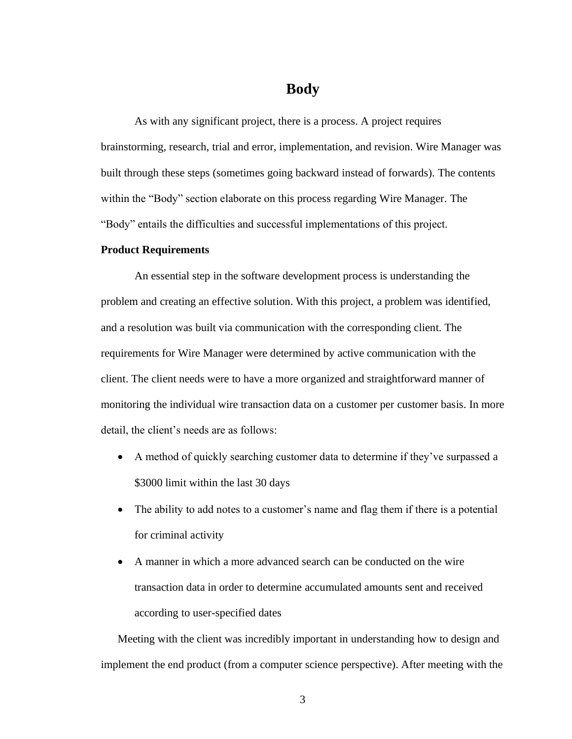## **Body**

As with any significant project, there is a process. A project requires brainstorming, research, trial and error, implementation, and revision. Wire Manager was built through these steps (sometimes going backward instead of forwards). The contents within the "Body" section elaborate on this process regarding Wire Manager. The "Body" entails the difficulties and successful implementations of this project.

### **Product Requirements**

An essential step in the software development process is understanding the problem and creating an effective solution. With this project, a problem was identified, and a resolution was built via communication with the corresponding client. The requirements for Wire Manager were determined by active communication with the client. The client needs were to have a more organized and straightforward manner of monitoring the individual wire transaction data on a customer per customer basis. In more detail, the client's needs are as follows:

- A method of quickly searching customer data to determine if they've surpassed a \$3000 limit within the last 30 days
- The ability to add notes to a customer's name and flag them if there is a potential  $\bullet$ for criminal activity
- A manner in which a more advanced search can be conducted on the wire  $\bullet$ transaction data in order to determine accumulated amounts sent and received according to user-specified dates

Meeting with the client was incredibly important in understanding how to design and implement the end product (from a computer science perspective). After meeting with the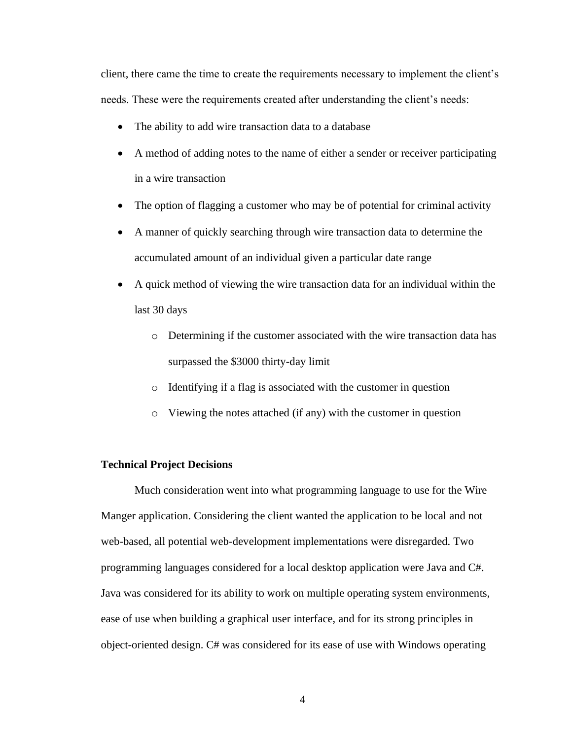client, there came the time to create the requirements necessary to implement the client's needs. These were the requirements created after understanding the client's needs:

- The ability to add wire transaction data to a database  $\bullet$
- A method of adding notes to the name of either a sender or receiver participating in a wire transaction
- The option of flagging a customer who may be of potential for criminal activity  $\bullet$
- A manner of quickly searching through wire transaction data to determine the  $\bullet$ accumulated amount of an individual given a particular date range
- A quick method of viewing the wire transaction data for an individual within the last 30 days
	- o Determining if the customer associated with the wire transaction data has surpassed the \$3000 thirty-day limit
	- o Identifying if a flag is associated with the customer in question
	- Viewing the notes attached (if any) with the customer in question

## **Technical Project Decisions**

Much consideration went into what programming language to use for the Wire Manger application. Considering the client wanted the application to be local and not web-based, all potential web-development implementations were disregarded. Two programming languages considered for a local desktop application were Java and C#. Java was considered for its ability to work on multiple operating system environments, ease of use when building a graphical user interface, and for its strong principles in object-oriented design. C# was considered for its ease of use with Windows operating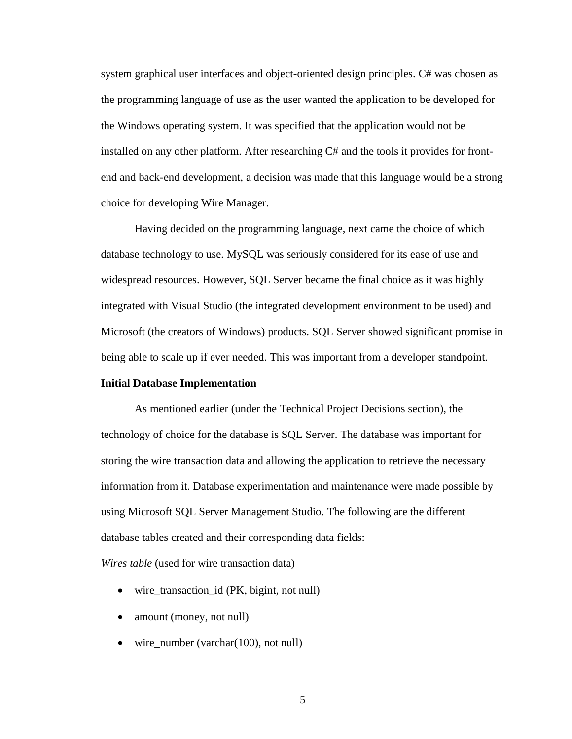system graphical user interfaces and object-oriented design principles. C# was chosen as the programming language of use as the user wanted the application to be developed for the Windows operating system. It was specified that the application would not be installed on any other platform. After researching C# and the tools it provides for frontend and back-end development, a decision was made that this language would be a strong choice for developing Wire Manager.

Having decided on the programming language, next came the choice of which database technology to use. MySQL was seriously considered for its ease of use and widespread resources. However, SQL Server became the final choice as it was highly integrated with Visual Studio (the integrated development environment to be used) and Microsoft (the creators of Windows) products. SQL Server showed significant promise in being able to scale up if ever needed. This was important from a developer standpoint.

## **Initial Database Implementation**

As mentioned earlier (under the Technical Project Decisions section), the technology of choice for the database is SQL Server. The database was important for storing the wire transaction data and allowing the application to retrieve the necessary information from it. Database experimentation and maintenance were made possible by using Microsoft SQL Server Management Studio. The following are the different database tables created and their corresponding data fields:

*Wires table* (used for wire transaction data)

- wire\_transaction\_id (PK, bigint, not null)
- amount (money, not null)  $\bullet$
- wire number (varchar $(100)$ , not null)  $\bullet$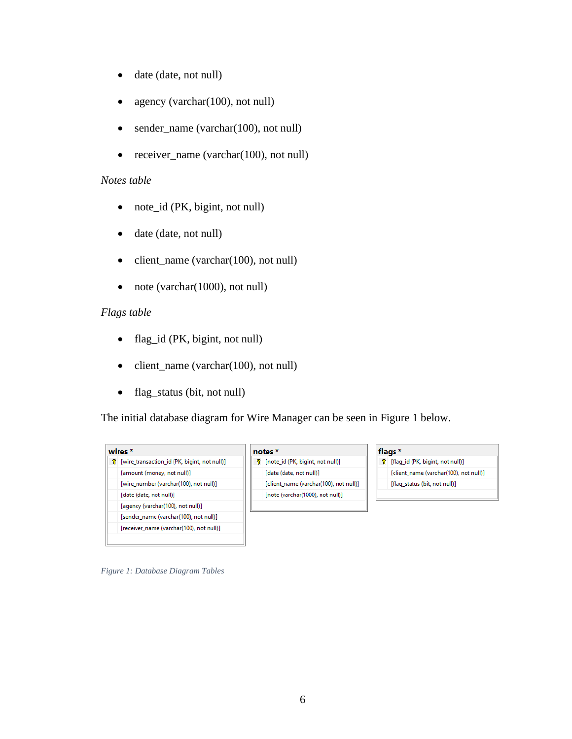- date (date, not null)  $\bullet$
- $\bullet$ agency (varchar(100), not null)
- sender\_name (varchar(100), not null)  $\bullet$
- receiver name (varchar(100), not null)  $\bullet$

## Notes table

- note\_id (PK, bigint, not null)  $\bullet$
- date (date, not null)  $\bullet$
- client\_name (varchar(100), not null)  $\bullet$
- $\bullet$ note (varchar(1000), not null)

## Flags table

- flag\_id (PK, bigint, not null)  $\bullet$
- client\_name (varchar(100), not null)  $\bullet$
- flag\_status (bit, not null)  $\bullet$

The initial database diagram for Wire Manager can be seen in Figure 1 below.



### notes\*

? [note\_id (PK, bigint, not null)] [date (date, not null)] [client\_name (varchar(100), not null)] [note (varchar(1000), not null)]

### flags \*

[flag\_id (PK, bigint, not null)] [client\_name (varchar(100), not null)] [flag\_status (bit, not null)]

Figure 1: Database Diagram Tables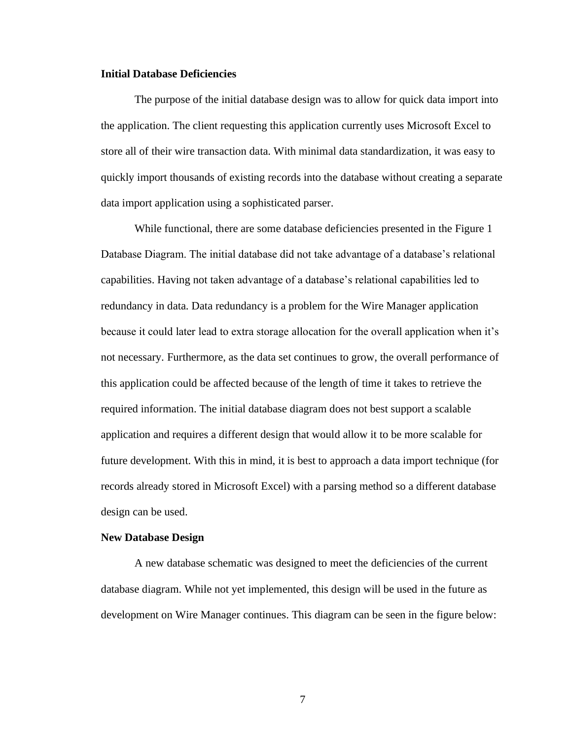## **Initial Database Deficiencies**

The purpose of the initial database design was to allow for quick data import into the application. The client requesting this application currently uses Microsoft Excel to store all of their wire transaction data. With minimal data standardization, it was easy to quickly import thousands of existing records into the database without creating a separate data import application using a sophisticated parser.

While functional, there are some database deficiencies presented in the Figure 1 Database Diagram. The initial database did not take advantage of a database's relational capabilities. Having not taken advantage of a database's relational capabilities led to redundancy in data. Data redundancy is a problem for the Wire Manager application because it could later lead to extra storage allocation for the overall application when it's not necessary. Furthermore, as the data set continues to grow, the overall performance of this application could be affected because of the length of time it takes to retrieve the required information. The initial database diagram does not best support a scalable application and requires a different design that would allow it to be more scalable for future development. With this in mind, it is best to approach a data import technique (for records already stored in Microsoft Excel) with a parsing method so a different database design can be used.

### **New Database Design**

A new database schematic was designed to meet the deficiencies of the current database diagram. While not yet implemented, this design will be used in the future as development on Wire Manager continues. This diagram can be seen in the figure below:

 $\overline{7}$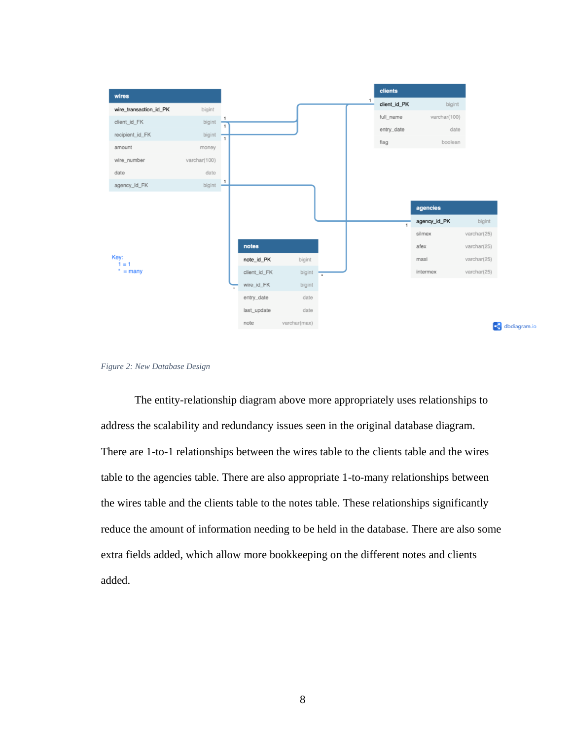



The entity-relationship diagram above more appropriately uses relationships to address the scalability and redundancy issues seen in the original database diagram. There are 1-to-1 relationships between the wires table to the clients table and the wires table to the agencies table. There are also appropriate 1-to-many relationships between the wires table and the clients table to the notes table. These relationships significantly reduce the amount of information needing to be held in the database. There are also some extra fields added, which allow more bookkeeping on the different notes and clients added.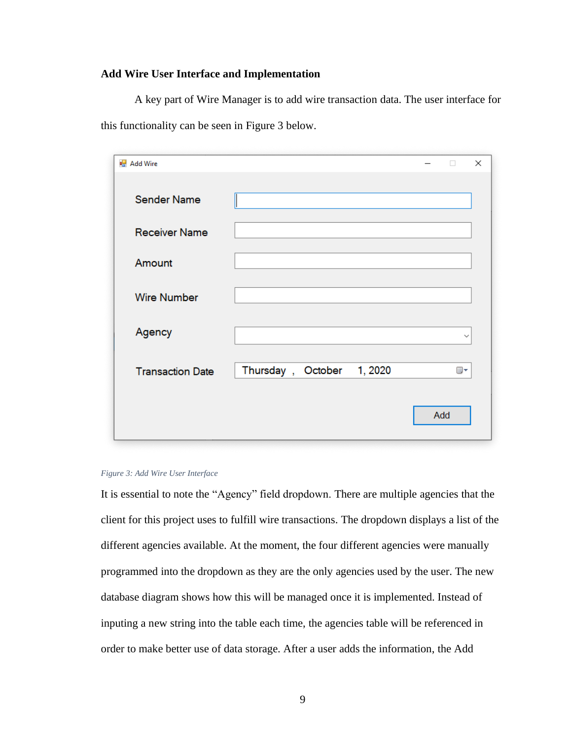## **Add Wire User Interface and Implementation**

A key part of Wire Manager is to add wire transaction data. The user interface for this functionality can be seen in Figure 3 below.

| ■ Add Wire              |                           |  | п            | $\times$ |
|-------------------------|---------------------------|--|--------------|----------|
| <b>Sender Name</b>      |                           |  |              |          |
| <b>Receiver Name</b>    |                           |  |              |          |
| Amount                  |                           |  |              |          |
| <b>Wire Number</b>      |                           |  |              |          |
| Agency                  |                           |  | $\checkmark$ |          |
| <b>Transaction Date</b> | Thursday, October 1, 2020 |  | ▦▾           |          |
|                         |                           |  | Add          |          |

### Figure 3: Add Wire User Interface

It is essential to note the "Agency" field dropdown. There are multiple agencies that the client for this project uses to fulfill wire transactions. The dropdown displays a list of the different agencies available. At the moment, the four different agencies were manually programmed into the dropdown as they are the only agencies used by the user. The new database diagram shows how this will be managed once it is implemented. Instead of inputing a new string into the table each time, the agencies table will be referenced in order to make better use of data storage. After a user adds the information, the Add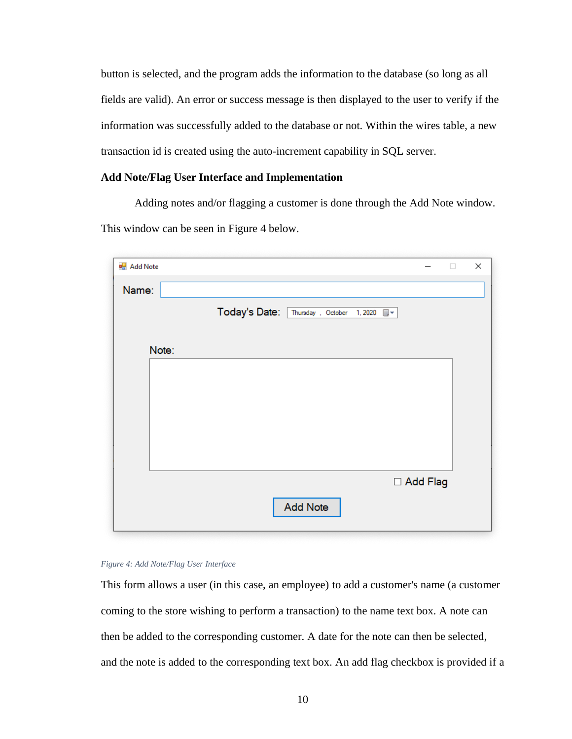button is selected, and the program adds the information to the database (so long as all fields are valid). An error or success message is then displayed to the user to verify if the information was successfully added to the database or not. Within the wires table, a new transaction id is created using the auto-increment capability in SQL server.

## **Add Note/Flag User Interface and Implementation**

Adding notes and/or flagging a customer is done through the Add Note window. This window can be seen in Figure 4 below.

| Today's Date: Thursday , October 1, 2020 W |                 |  |            |
|--------------------------------------------|-----------------|--|------------|
|                                            |                 |  |            |
|                                            |                 |  |            |
|                                            |                 |  |            |
|                                            |                 |  |            |
|                                            |                 |  |            |
|                                            |                 |  |            |
|                                            |                 |  |            |
|                                            |                 |  |            |
|                                            |                 |  |            |
|                                            |                 |  |            |
|                                            |                 |  |            |
|                                            |                 |  |            |
|                                            |                 |  |            |
|                                            | <b>Add Note</b> |  | □ Add Flag |

### Figure 4: Add Note/Flag User Interface

This form allows a user (in this case, an employee) to add a customer's name (a customer coming to the store wishing to perform a transaction) to the name text box. A note can then be added to the corresponding customer. A date for the note can then be selected, and the note is added to the corresponding text box. An add flag checkbox is provided if a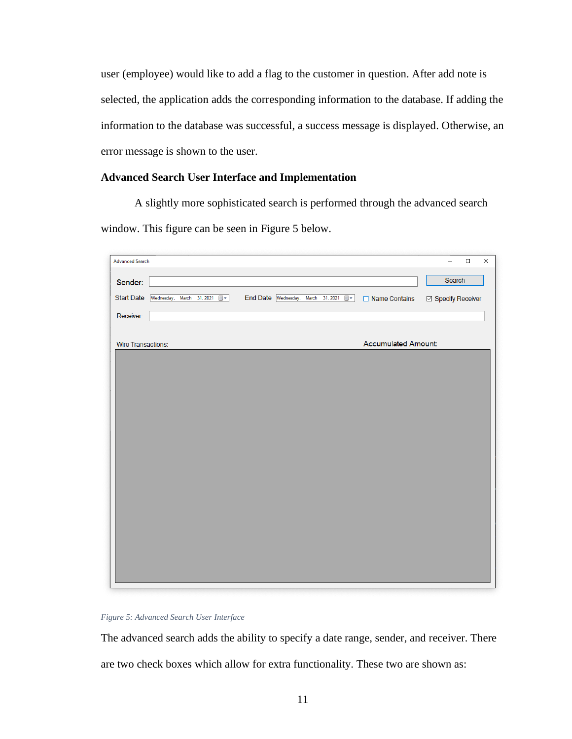user (employee) would like to add a flag to the customer in question. After add note is selected, the application adds the corresponding information to the database. If adding the information to the database was successful, a success message is displayed. Otherwise, an error message is shown to the user.

## **Advanced Search User Interface and Implementation**

A slightly more sophisticated search is performed through the advanced search window. This figure can be seen in Figure 5 below.

| <b>Advanced Search</b>                         |                                    | $\Box$<br>$\times$<br>$\overline{\phantom{0}}$ |
|------------------------------------------------|------------------------------------|------------------------------------------------|
|                                                |                                    | Search                                         |
| Sender:                                        |                                    |                                                |
| <b>Start Date</b><br>Wednesday, March 31, 2021 | End Date Wednesday, March 31, 2021 | ☑ Specify Receiver<br>□ Name Contains          |
| Receiver:                                      |                                    |                                                |
|                                                |                                    |                                                |
| <b>Wire Transactions:</b>                      |                                    | <b>Accumulated Amount:</b>                     |
|                                                |                                    |                                                |
|                                                |                                    |                                                |
|                                                |                                    |                                                |
|                                                |                                    |                                                |
|                                                |                                    |                                                |
|                                                |                                    |                                                |
|                                                |                                    |                                                |
|                                                |                                    |                                                |
|                                                |                                    |                                                |
|                                                |                                    |                                                |
|                                                |                                    |                                                |
|                                                |                                    |                                                |
|                                                |                                    |                                                |
|                                                |                                    |                                                |
|                                                |                                    |                                                |
|                                                |                                    |                                                |
|                                                |                                    |                                                |
|                                                |                                    |                                                |
|                                                |                                    |                                                |

### Figure 5: Advanced Search User Interface

The advanced search adds the ability to specify a date range, sender, and receiver. There are two check boxes which allow for extra functionality. These two are shown as: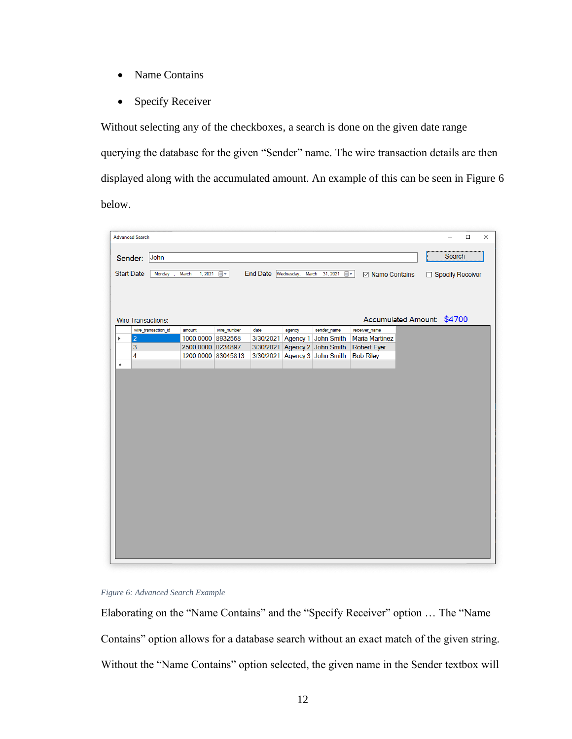- Name Contains  $\bullet$
- $\bullet$ **Specify Receiver**

Without selecting any of the checkboxes, a search is done on the given date range querying the database for the given "Sender" name. The wire transaction details are then displayed along with the accumulated amount. An example of this can be seen in Figure 6 below.

|   | <b>Advanced Search</b>    |                     |                    |                |           |          |                                    |                            |  |                    | $\Box$ | $\times$ |
|---|---------------------------|---------------------|--------------------|----------------|-----------|----------|------------------------------------|----------------------------|--|--------------------|--------|----------|
|   |                           |                     |                    |                |           |          |                                    |                            |  |                    |        |          |
|   |                           |                     |                    |                |           |          |                                    |                            |  |                    |        |          |
|   | Sender:                   | John                |                    |                |           |          |                                    |                            |  | Search             |        |          |
|   | <b>Start Date</b>         | Monday              | March<br>1, 2021   | $\blacksquare$ |           |          | End Date Wednesday, March 31, 2021 | ☑ Name Contains            |  | □ Specify Receiver |        |          |
|   |                           |                     |                    |                |           |          |                                    |                            |  |                    |        |          |
|   | <b>Wire Transactions:</b> |                     |                    |                |           |          |                                    | Accumulated Amount: \$4700 |  |                    |        |          |
|   |                           | wire_transaction_id | amount             | wire_number    | date      | agency   | sender_name                        | receiver_name              |  |                    |        |          |
| Þ | $\vert$ 2                 |                     | 1000.0000 8932568  |                | 3/30/2021 | Agency 1 | John Smith                         | <b>Maria Martinez</b>      |  |                    |        |          |
|   | 3                         |                     | 2500.0000 0234897  |                | 3/30/2021 |          | Agency 2 John Smith                | <b>Robert Eyer</b>         |  |                    |        |          |
|   | 4                         |                     | 1200.0000 83045813 |                |           |          | 3/30/2021 Agency 3 John Smith      | <b>Bob Riley</b>           |  |                    |        |          |
| ٠ |                           |                     |                    |                |           |          |                                    |                            |  |                    |        |          |
|   |                           |                     |                    |                |           |          |                                    |                            |  |                    |        |          |
|   |                           |                     |                    |                |           |          |                                    |                            |  |                    |        |          |
|   |                           |                     |                    |                |           |          |                                    |                            |  |                    |        |          |
|   |                           |                     |                    |                |           |          |                                    |                            |  |                    |        |          |
|   |                           |                     |                    |                |           |          |                                    |                            |  |                    |        |          |
|   |                           |                     |                    |                |           |          |                                    |                            |  |                    |        |          |
|   |                           |                     |                    |                |           |          |                                    |                            |  |                    |        |          |
|   |                           |                     |                    |                |           |          |                                    |                            |  |                    |        |          |
|   |                           |                     |                    |                |           |          |                                    |                            |  |                    |        |          |
|   |                           |                     |                    |                |           |          |                                    |                            |  |                    |        |          |
|   |                           |                     |                    |                |           |          |                                    |                            |  |                    |        |          |
|   |                           |                     |                    |                |           |          |                                    |                            |  |                    |        |          |
|   |                           |                     |                    |                |           |          |                                    |                            |  |                    |        |          |
|   |                           |                     |                    |                |           |          |                                    |                            |  |                    |        |          |
|   |                           |                     |                    |                |           |          |                                    |                            |  |                    |        |          |
|   |                           |                     |                    |                |           |          |                                    |                            |  |                    |        |          |
|   |                           |                     |                    |                |           |          |                                    |                            |  |                    |        |          |
|   |                           |                     |                    |                |           |          |                                    |                            |  |                    |        |          |
|   |                           |                     |                    |                |           |          |                                    |                            |  |                    |        |          |
|   |                           |                     |                    |                |           |          |                                    |                            |  |                    |        |          |
|   |                           |                     |                    |                |           |          |                                    |                            |  |                    |        |          |
|   |                           |                     |                    |                |           |          |                                    |                            |  |                    |        |          |
|   |                           |                     |                    |                |           |          |                                    |                            |  |                    |        |          |

## Figure 6: Advanced Search Example

Elaborating on the "Name Contains" and the "Specify Receiver" option ... The "Name Contains" option allows for a database search without an exact match of the given string. Without the "Name Contains" option selected, the given name in the Sender textbox will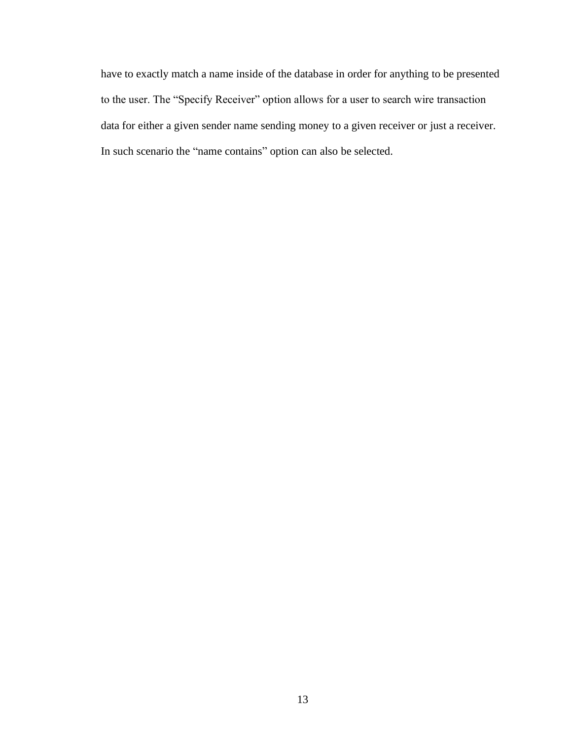have to exactly match a name inside of the database in order for anything to be presented to the user. The "Specify Receiver" option allows for a user to search wire transaction data for either a given sender name sending money to a given receiver or just a receiver. In such scenario the "name contains" option can also be selected.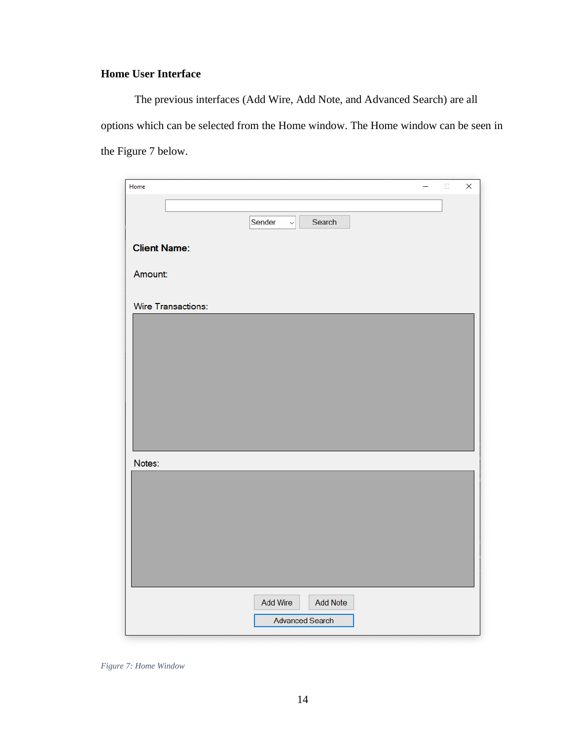## **Home User Interface**

The previous interfaces (Add Wire, Add Note, and Advanced Search) are all options which can be selected from the Home window. The Home window can be seen in the Figure 7 below.

| Sender<br>$\backsim$<br>Search |
|--------------------------------|
|                                |
|                                |
|                                |
| <b>Client Name:</b>            |
| Amount:                        |
|                                |
| Wire Transactions:             |
|                                |
|                                |
|                                |
|                                |
|                                |
|                                |
|                                |
|                                |
|                                |
| Notes:                         |
|                                |
|                                |
|                                |
|                                |
|                                |
|                                |
|                                |
|                                |
| <b>Add Note</b><br>Add Wire    |
| <b>Advanced Search</b>         |

Figure 7: Home Window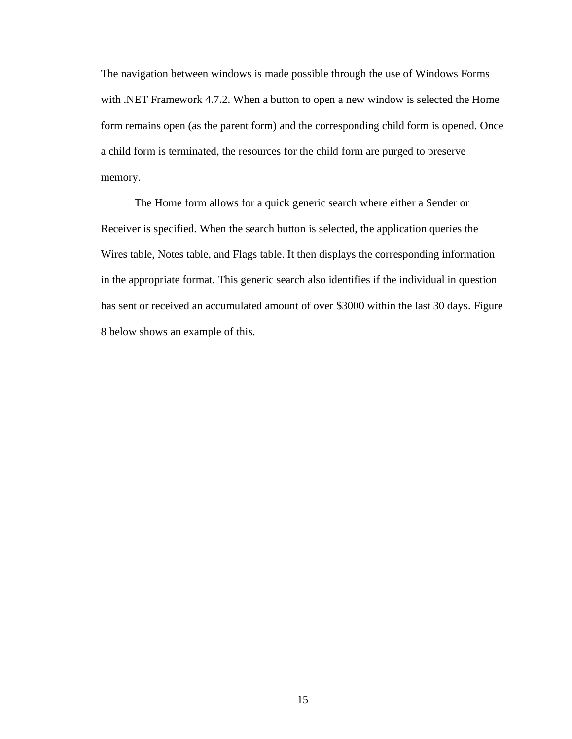The navigation between windows is made possible through the use of Windows Forms with .NET Framework 4.7.2. When a button to open a new window is selected the Home form remains open (as the parent form) and the corresponding child form is opened. Once a child form is terminated, the resources for the child form are purged to preserve memory.

The Home form allows for a quick generic search where either a Sender or Receiver is specified. When the search button is selected, the application queries the Wires table, Notes table, and Flags table. It then displays the corresponding information in the appropriate format. This generic search also identifies if the individual in question has sent or received an accumulated amount of over \$3000 within the last 30 days. Figure 8 below shows an example of this.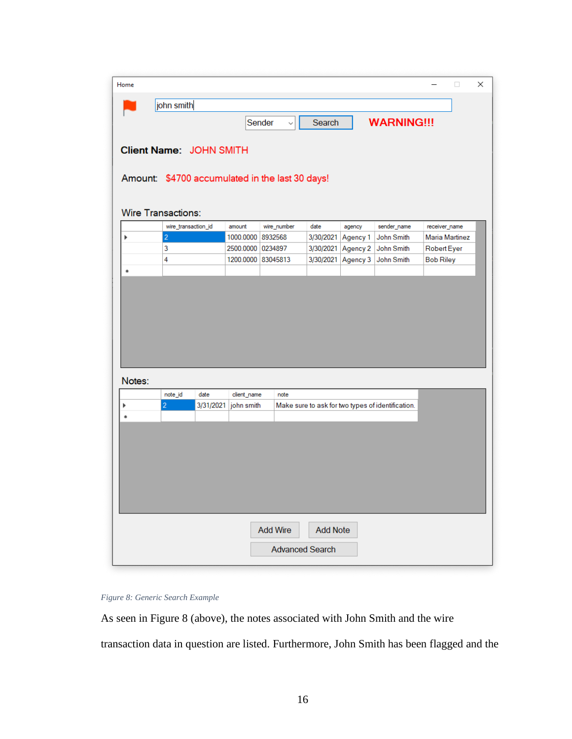| Home   |                                                 |           |                    |                 |              |                 |          |                                                   | 0                     | × |
|--------|-------------------------------------------------|-----------|--------------------|-----------------|--------------|-----------------|----------|---------------------------------------------------|-----------------------|---|
|        | john smith                                      |           |                    |                 |              |                 |          |                                                   |                       |   |
|        |                                                 |           |                    | Sender          | $\checkmark$ | Search          |          | <b>WARNING!!!</b>                                 |                       |   |
|        |                                                 |           |                    |                 |              |                 |          |                                                   |                       |   |
|        | Client Name: JOHN SMITH                         |           |                    |                 |              |                 |          |                                                   |                       |   |
|        | Amount: \$4700 accumulated in the last 30 days! |           |                    |                 |              |                 |          |                                                   |                       |   |
|        |                                                 |           |                    |                 |              |                 |          |                                                   |                       |   |
|        | <b>Wire Transactions:</b>                       |           |                    |                 |              |                 |          |                                                   |                       |   |
|        | wire_transaction_id                             |           | amount             |                 | wire_number  | date            | agency   | sender_name                                       | receiver_name         |   |
| Þ      | $\overline{c}$                                  |           | 1000.0000          | 8932568         |              | 3/30/2021       | Agency 1 | John Smith                                        | <b>Maria Martinez</b> |   |
|        | 3                                               |           | 2500.0000 0234897  |                 |              | 3/30/2021       | Agency 2 | John Smith                                        | Robert Eyer           |   |
|        | 4                                               |           | 1200.0000 83045813 |                 |              | 3/30/2021       | Agency 3 | John Smith                                        | <b>Bob Riley</b>      |   |
| 廣      |                                                 |           |                    |                 |              |                 |          |                                                   |                       |   |
| Notes: |                                                 |           |                    |                 |              |                 |          |                                                   |                       |   |
|        | note_id                                         | date      | client_name        |                 | note         |                 |          |                                                   |                       |   |
| ▶      | $\overline{2}$                                  | 3/31/2021 | john smith         |                 |              |                 |          | Make sure to ask for two types of identification. |                       |   |
| à      |                                                 |           |                    |                 |              |                 |          |                                                   |                       |   |
|        |                                                 |           |                    |                 |              |                 |          |                                                   |                       |   |
|        |                                                 |           |                    |                 |              |                 |          |                                                   |                       |   |
|        |                                                 |           |                    |                 |              |                 |          |                                                   |                       |   |
|        |                                                 |           |                    |                 |              |                 |          |                                                   |                       |   |
|        |                                                 |           |                    |                 |              |                 |          |                                                   |                       |   |
|        |                                                 |           |                    |                 |              |                 |          |                                                   |                       |   |
|        |                                                 |           |                    | <b>Add Wire</b> |              | <b>Add Note</b> |          |                                                   |                       |   |

## Figure 8: Generic Search Example

As seen in Figure 8 (above), the notes associated with John Smith and the wire transaction data in question are listed. Furthermore, John Smith has been flagged and the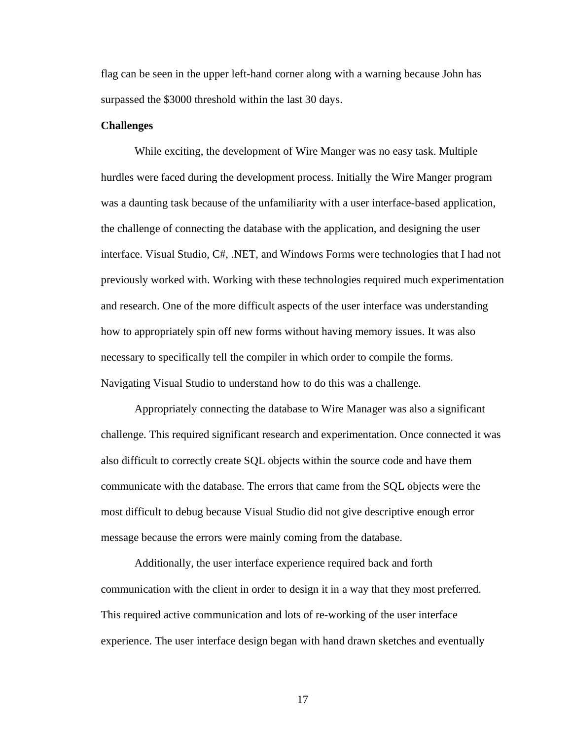flag can be seen in the upper left-hand corner along with a warning because John has surpassed the \$3000 threshold within the last 30 days.

### **Challenges**

While exciting, the development of Wire Manger was no easy task. Multiple hurdles were faced during the development process. Initially the Wire Manger program was a daunting task because of the unfamiliarity with a user interface-based application, the challenge of connecting the database with the application, and designing the user interface. Visual Studio, C#, .NET, and Windows Forms were technologies that I had not previously worked with. Working with these technologies required much experimentation and research. One of the more difficult aspects of the user interface was understanding how to appropriately spin off new forms without having memory issues. It was also necessary to specifically tell the compiler in which order to compile the forms. Navigating Visual Studio to understand how to do this was a challenge.

Appropriately connecting the database to Wire Manager was also a significant challenge. This required significant research and experimentation. Once connected it was also difficult to correctly create SQL objects within the source code and have them communicate with the database. The errors that came from the SQL objects were the most difficult to debug because Visual Studio did not give descriptive enough error message because the errors were mainly coming from the database.

Additionally, the user interface experience required back and forth communication with the client in order to design it in a way that they most preferred. This required active communication and lots of re-working of the user interface experience. The user interface design began with hand drawn sketches and eventually

17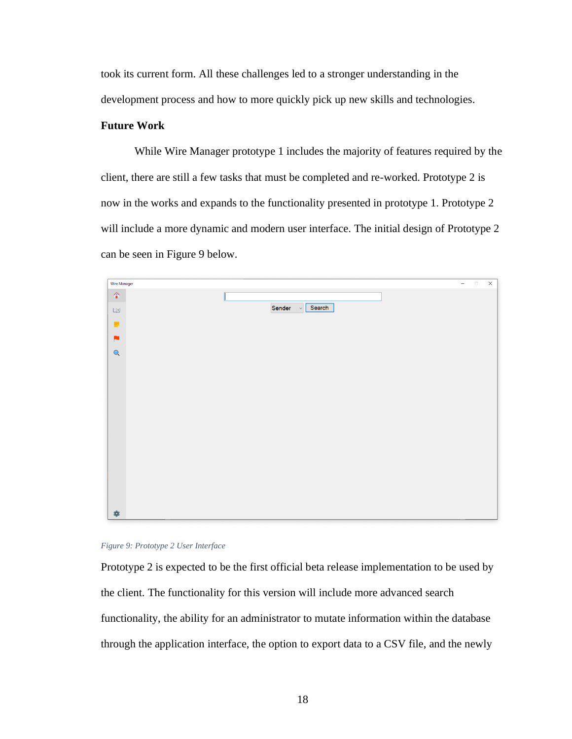took its current form. All these challenges led to a stronger understanding in the development process and how to more quickly pick up new skills and technologies.

## **Future Work**

While Wire Manager prototype 1 includes the majority of features required by the client, there are still a few tasks that must be completed and re-worked. Prototype 2 is now in the works and expands to the functionality presented in prototype 1. Prototype 2 will include a more dynamic and modern user interface. The initial design of Prototype 2 can be seen in Figure 9 below.



Figure 9: Prototype 2 User Interface

Prototype 2 is expected to be the first official beta release implementation to be used by the client. The functionality for this version will include more advanced search functionality, the ability for an administrator to mutate information within the database through the application interface, the option to export data to a CSV file, and the newly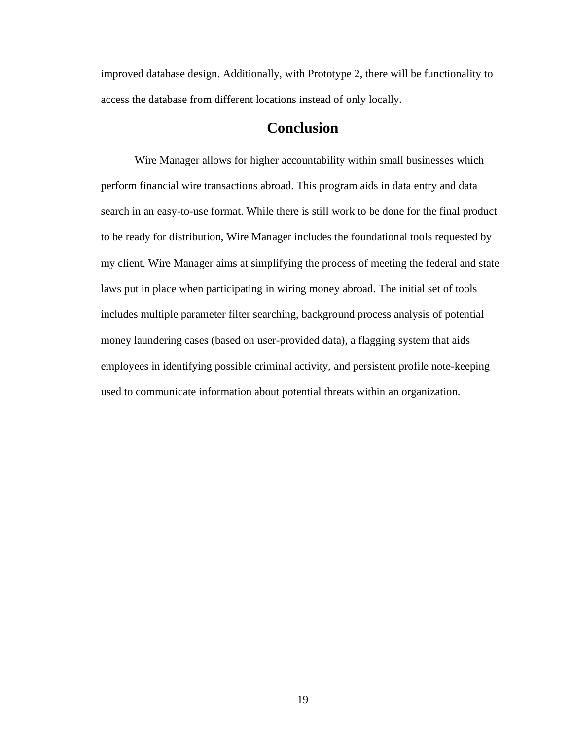improved database design. Additionally, with Prototype 2, there will be functionality to access the database from different locations instead of only locally.

## **Conclusion**

Wire Manager allows for higher accountability within small businesses which perform financial wire transactions abroad. This program aids in data entry and data search in an easy-to-use format. While there is still work to be done for the final product to be ready for distribution, Wire Manager includes the foundational tools requested by my client. Wire Manager aims at simplifying the process of meeting the federal and state laws put in place when participating in wiring money abroad. The initial set of tools includes multiple parameter filter searching, background process analysis of potential money laundering cases (based on user-provided data), a flagging system that aids employees in identifying possible criminal activity, and persistent profile note-keeping used to communicate information about potential threats within an organization.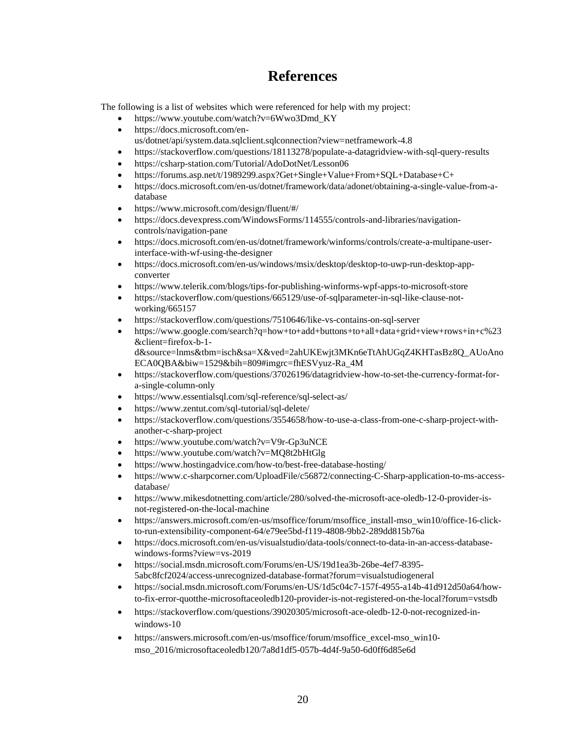## **References**

The following is a list of websites which were referenced for help with my project:

- https://www.youtube.com/watch?v=6Wwo3Dmd\_KY  $\bullet$
- https://docs.microsoft.com/en- $\bullet$
- us/dotnet/api/system.data.sqlclient.sqlconnection?view=netframework-4.8
- https://stackoverflow.com/questions/18113278/populate-a-datagridview-with-sql-query-results  $\bullet$
- https://csharp-station.com/Tutorial/AdoDotNet/Lesson06
- https://forums.asp.net/t/1989299.aspx?Get+Single+Value+From+SOL+Database+C+
- https://docs.microsoft.com/en-us/dotnet/framework/data/adonet/obtaining-a-single-value-from-a- $\bullet$ database
- https://www.microsoft.com/design/fluent/#/  $\bullet$
- https://docs.devexpress.com/WindowsForms/114555/controls-and-libraries/navigationcontrols/navigation-pane
- https://docs.microsoft.com/en-us/dotnet/framework/winforms/controls/create-a-multipane-user- $\bullet$ interface-with-wf-using-the-designer
- https://docs.microsoft.com/en-us/windows/msix/desktop/desktop-to-uwp-run-desktop-app- $\bullet$ converter
- $\bullet$ https://www.telerik.com/blogs/tips-for-publishing-winforms-wpf-apps-to-microsoft-store
- https://stackoverflow.com/questions/665129/use-of-sqlparameter-in-sql-like-clause-notworking/ $665157$
- https://stackoverflow.com/questions/7510646/like-vs-contains-on-sql-server
- https://www.google.com/search?q=how+to+add+buttons+to+all+data+grid+view+rows+in+c%23 &client=firefox-b-1d&source=lnms&tbm=isch&sa=X&ved=2ahUKEwjt3MKn6eTtAhUGqZ4KHTasBz8Q AUoAno ECA0QBA&biw=1529&bih=809#imgrc=fhESVyuz-Ra\_4M
- https://stackoverflow.com/questions/37026196/datagridview-how-to-set-the-currency-format-for- $\bullet$ a-single-column-only
- https://www.essentialsql.com/sql-reference/sql-select-as/
- https://www.zentut.com/sql-tutorial/sql-delete/
- $\bullet$ https://stackoverflow.com/questions/3554658/how-to-use-a-class-from-one-c-sharp-project-withanother-c-sharp-project
- https://www.youtube.com/watch?v=V9r-Gp3uNCE  $\bullet$
- https://www.youtube.com/watch?v=MO8t2bHtGlg
- https://www.hostingadvice.com/how-to/best-free-database-hosting/  $\bullet$
- https://www.c-sharpcorner.com/UploadFile/c56872/connecting-C-Sharp-application-to-ms-access- $\bullet$ database/
- https://www.mikesdotnetting.com/article/280/solved-the-microsoft-ace-oledb-12-0-provider-is- $\bullet$ not-registered-on-the-local-machine
- https://answers.microsoft.com/en-us/msoffice/forum/msoffice\_install-mso\_win10/office-16-click- $\bullet$ to-run-extensibility-component-64/e79ee5bd-f119-4808-9bb2-289dd815b76a
- https://docs.microsoft.com/en-us/visualstudio/data-tools/connect-to-data-in-an-access-database- $\bullet$ windows-forms?view=vs-2019
- https://social.msdn.microsoft.com/Forums/en-US/19d1ea3b-26be-4ef7-8395- $\bullet$ 5abc8fcf2024/access-unrecognized-database-format?forum=visualstudiogeneral
- https://social.msdn.microsoft.com/Forums/en-US/1d5c04c7-157f-4955-a14b-41d912d50a64/how- $\bullet$ to-fix-error-quotthe-microsoftaceoledb120-provider-is-not-registered-on-the-local?forum=vstsdb
- https://stackoverflow.com/questions/39020305/microsoft-ace-oledb-12-0-not-recognized-in- $\bullet$ windows-10
- https://answers.microsoft.com/en-us/msoffice/forum/msoffice excel-mso win10- $\bullet$ mso 2016/microsoftaceoledb120/7a8d1df5-057b-4d4f-9a50-6d0ff6d85e6d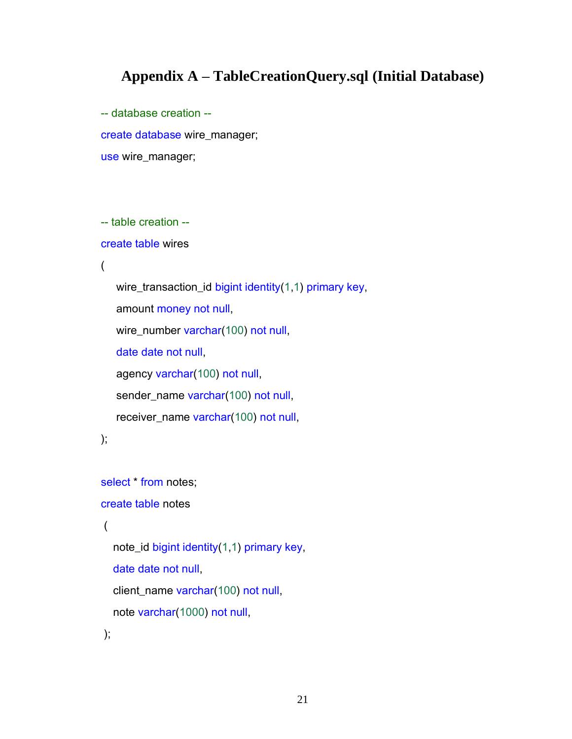## **Appendix A - TableCreationQuery.sql (Initial Database)**

-- database creation -create database wire manager; use wire\_manager;

```
--- table creation --
```

```
create table wires
```

```
\overline{(\ }
```

```
wire_transaction_id bigint identity(1,1) primary key,
amount money not null,
wire_number varchar(100) not null,
date date not null
agency varchar(100) not null,
sender_name varchar(100) not null,
receiver_name varchar(100) not null,
```

```
);
```

```
select * from notes:
```

```
create table notes
```

```
\left(
```

```
note_id bigint identity(1,1) primary key,
```
date date not null,

client\_name varchar(100) not null,

```
note varchar(1000) not null,
```

```
);
```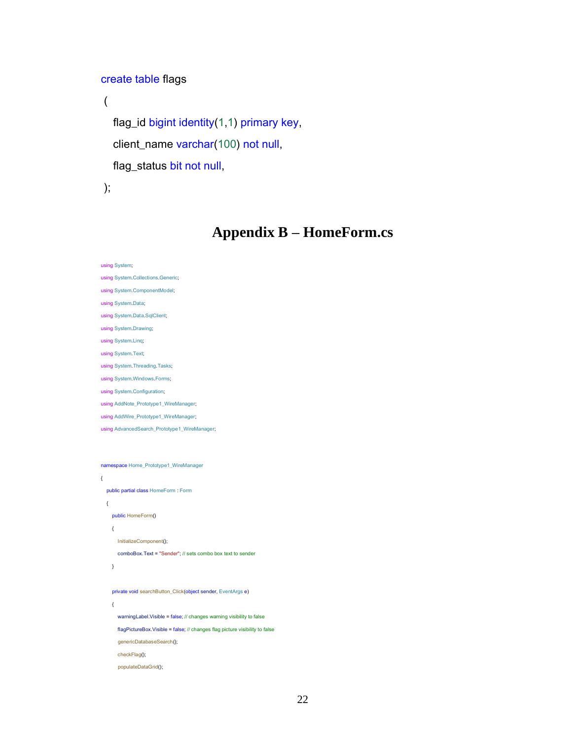```
create table flags
```

```
\overline{(}flag_id bigint identity(1,1) primary key,
  client_name varchar(100) not null,
  flag_status bit not null,
```
 $\mathcal{E}$ 

## **Appendix B - HomeForm.cs**

```
using System;
using System.Collections.Generic;
using System.ComponentModel;
using System.Data;
using System.Data.SqlClient;
using System.Drawing;
using System.Ling;
using System. Text;
using System Threading Tasks;
using System. Windows. Forms;
using System.Configuration;
using AddNote_Prototype1_WireManager;
using AddWire_Prototype1_WireManager;
using AdvancedSearch_Prototype1_WireManager;
namespace Home_Prototype1_WireManager
\{public partial class HomeForm : Form
  \left\{ \right.public HomeForm()
    \{InitializeComponent();
       comboBox.Text = "Sender"; // sets combo box text to sender
    \}private void searchButton_Click(object sender, EventArgs e)
     \left\{ \right.warningLabel.Visible = false; // changes warning visibility to false
       flagPictureBox.Visible = false; // changes flag picture visibility to false
       genericDatabaseSearch();
       checkFlag();
       populateDataGrid();
```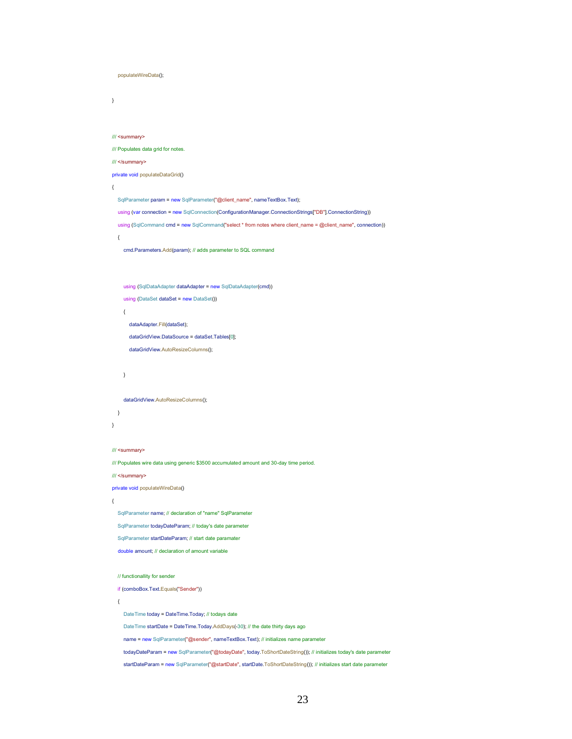```
populateWireData();
/// <summary>
/// Populates data grid for notes.
/// </summary>
private void populateDataGrid()
  SqlParameter param = new SqlParameter("@client_name", nameTextBox.Text);
```
using (var connection = new SqlConnection(ConfigurationManager.ConnectionStrings["DB"].ConnectionString)) using (SqlCommand cmd = new SqlCommand("select \* from notes where client\_name = @client\_name", connection))

```
\left\{ \right.
```
 $\,$  }

 $\left\{ \right.$ 

cmd.Parameters.Add(param); // adds parameter to SQL command

```
using (SqlDataAdapter dataAdapter = new SqlDataAdapter(cmd))
```
using (DataSet dataSet = new DataSet())

```
\{
```
dataAdapter.Fill(dataSet);

```
dataGridView.DataSource = dataSet.Tables[0];
```

```
dataGridView.AutoResizeColumns();
```

```
\overline{\phantom{a}}
```
dataGridView.AutoResizeColumns();

```
\overline{\phantom{a}}
```
/// <summary>

/// Populates wire data using generic \$3500 accumulated amount and 30-day time period.

/// </summary>

private void populateWireData()

```
\left\{ \right.
```
 $\rightarrow$ 

SqlParameter name; // declaration of "name" SqlParameter

SqlParameter todayDateParam; // today's date parameter

```
SqlParameter startDateParam; // start date paramater
```
double amount; // declaration of amount variable

```
// functionallity for sender
```
if (comboBox.Text.Equals("Sender"))

```
\left\{ \right.
```
DateTime today = DateTime.Today; // todays date

Date Time startDate = Date Time. Today.AddDays(-30); // the date thirty days ago

name = new SqlParameter("@sender", nameTextBox.Text); // initializes name parameter

todayDateParam = new SqlParameter("@todayDate", today.ToShortDateString()); // initializes today's date parameter

startDateParam = new SqlParameter("@startDate", startDate.ToShortDateString()); // initializes start date parameter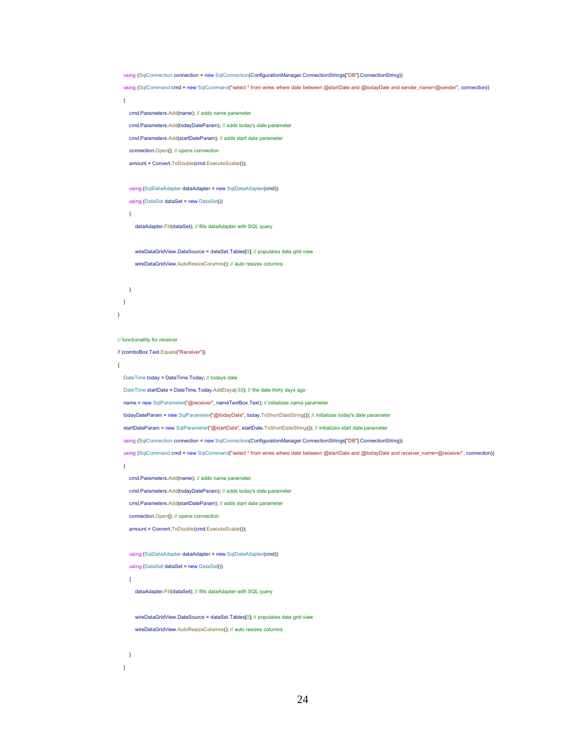```
using (SqlConnection connection = new SqlConnection(ConfigurationManager.ConnectionStrings["DB"].ConnectionString))
```
using (SqlCommand cmd = new SqlCommand("select \* from wires where date between @startDate and @todayDate and sender\_name=@sender", connection))

```
cmd.Parameters.Add(name); // adds name parameter
```
cmd.Parameters.Add(todayDateParam); // adds today's date parameter

```
cmd.Parameters.Add(startDateParam); // adds start date parameter
```
connection.Open(); // opens connection

```
amount = Convert.ToDouble(cmd.ExecuteScalar());
```
using (SqlDataAdapter dataAdapter = new SqlDataAdapter(cmd))

using (DataSet dataSet = new DataSet())

 $\overline{\mathbf{f}}$ 

 $\{$ 

dataAdapter.Fill(dataSet); // fills dataAdapter with SQL query

wireDataGridView.DataSource = dataSet.Tables[0]; // populates data grid view wireDataGridView.AutoResizeColumns(); // auto resizes columns

```
\rightarrow\overline{\phantom{a}}\mathcal{E}
```
#### // functionallity for receiver

if (comboBox.Text.Equals("Receiver"))

#### $\left\{ \right.$

DateTime today = DateTime.Today; // todays date

Date Time startDate = Date Time. Today.AddDays(-30); // the date thirty days ago

name = new SqlParameter("@receiver", nameTextBox.Text); // initializes name parameter

todayDateParam = new SqlParameter("@todayDate", today.ToShortDateString()); // initializes today's date parameter

```
startDateParam = new SqlParameter("@startDate", startDate.ToShortDateString()); // initializes start date parameter
```
using (SqlConnection connection = new SqlConnection(ConfigurationManager.ConnectionStrings["DB"].ConnectionString))

using (SqlCommand cmd = new SqlCommand("select \* from wires where date between @startDate and @todayDate and receiver\_name=@receiver", connection))

 $\overline{\mathbf{f}}$ 

```
cmd.Parameters.Add(name); // adds name parameter
```
cmd.Parameters.Add(todayDateParam); // adds today's date parameter

cmd.Parameters.Add(startDateParam); // adds start date parameter

```
connection.Open(): // opens connection
```
amount = Convert.ToDouble(cmd.ExecuteScalar());

```
using (SqlDataAdapter dataAdapter = new SqlDataAdapter(cmd))
```
using (DataSet dataSet = new DataSet())

 $\left\{ \right.$ 

 $\overline{\ }$  $\overline{\phantom{a}}$ 

dataAdapter.Fill(dataSet); // fills dataAdapter with SQL query

```
wireDataGridView.DataSource = dataSet.Tablesf01: // populates data grid view
wireDataGridView.AutoResizeColumns(); // auto resizes columns
```

```
24
```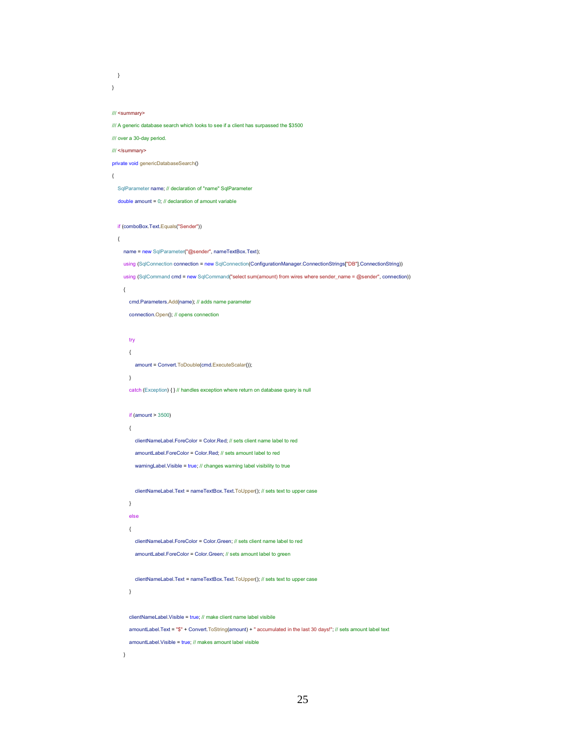```
\, \,\overline{ }
```
#### /// <summary>

/// A generic database search which looks to see if a client has surpassed the \$3500

/// over a 30-day period.

/// </summary>

private void genericDatabaseSearch()

#### $\left\{ \right.$

SqlParameter name; // declaration of "name" SqlParameter

double amount =  $0$ : // declaration of amount variable

if (comboBox.Text.Equals("Sender"))

#### $\{$

name = new SqlParameter("@sender", nameTextBox.Text);

using (SqlConnection connection = new SqlConnection(ConfigurationManager.ConnectionStrings["DB"].ConnectionString))

using (SqlCommand cmd = new SqlCommand("select sum(amount) from wires where sender\_name = @sender", connection))

#### $\left\{ \right.$

cmd.Parameters.Add(name); // adds name parameter

connection.Open(); // opens connection

### try

 $\{$ 

amount = Convert.ToDouble(cmd.ExecuteScalar());

#### $\lambda$

catch (Exception) { } // handles exception where return on database query is null

#### if (amount  $> 3500$ )

#### $\{$

clientNameLabel.ForeColor = Color.Red; // sets client name label to red

amountLabel.ForeColor = Color.Red; // sets amount label to red

warningLabel.Visible = true; // changes warning label visibility to true

clientNameLabel.Text = nameTextBox.Text.ToUpper(); // sets text to upper case

## $\lambda$ else  $\{$

clientNameLabel.ForeColor = Color.Green; // sets client name label to red

amountLabel.ForeColor = Color.Green; // sets amount label to green

clientNameLabel.Text = nameTextBox.Text.ToUpper(); // sets text to upper case

## $\rightarrow$

clientNameLabel.Visible = true: // make client name label visibile amountLabel.Text = "\$" + Convert.ToString(amount) + " accumulated in the last 30 days!"; // sets amount label text amountLabel.Visible = true; // makes amount label visible

#### $\lambda$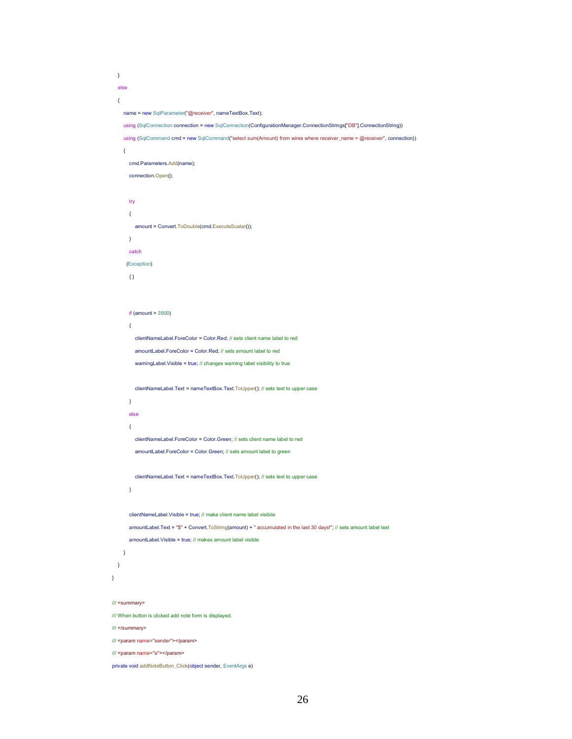```
\, \,else
  \{name = new SqlParameter("@receiver", nameTextBox.Text);
     using (SqlConnection connection = new SqlConnection(ConfigurationManager.ConnectionStrings["DB"].ConnectionString))
     using (SqlCommand cmd = new SqlCommand("select sum(Amount) from wires where receiver_name = @receiver", connection))
     \{cmd.Parameters.Add(name);
       connection.Open();
       try
       \{amount = Convert.ToDouble(cmd.ExecuteScalar());
       \}catch
      (Exception)
       \{\}if (amount > 3500)
       \left\{ \right.clientNameLabel.ForeColor = Color.Red; // sets client name label to red
          amountLabel.ForeColor = Color.Red; // sets amount label to red
          warningLabel.Visible = true; // changes warning label visibility to true
          clientNameLabel.Text = nameTextBox.Text.ToUpper(); // sets text to upper case
       \}else
       \left\{ \right.clientNameLabel.ForeColor = Color.Green; // sets client name label to red
          amountLabel.ForeColor = Color.Green; // sets amount label to green
          clientNameLabel.Text = nameTextBox.Text.ToUpper(); // sets text to upper case
       \mathcal{Y}clientNameLabel.Visible = true; // make client name label visibile
       amountLabel.Text = "$" + Convert.ToString(amount) + " accumulated in the last 30 days!"; // sets amount label text
       amountLabel.Visible = true; // makes amount label visible
    \rightarrow\rightarrow\mathcal{E}/// <summary>
/// When button is clicked add note form is displayed.
/// </summary>
/// <param name="sender"></param>
/// <param name="e"></param>
```
private void addNoteButton\_Click(object sender, EventArgs e)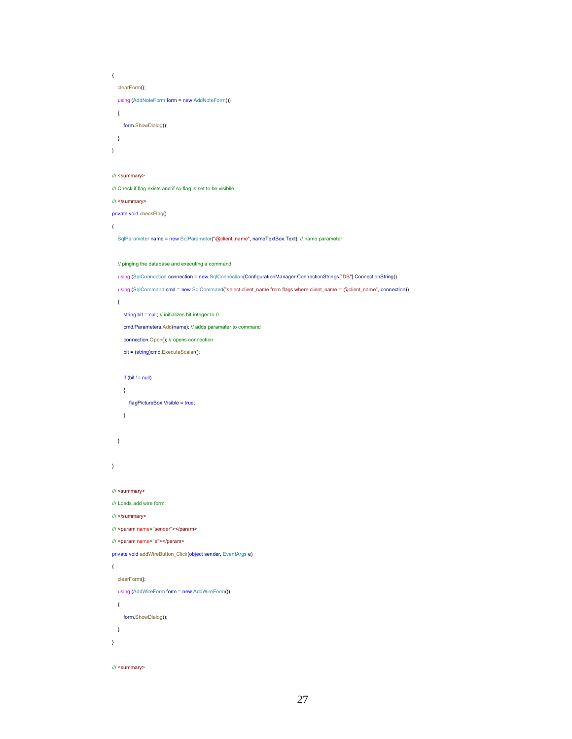```
\{clearForm();
  using (AddNoteForm form = new AddNoteForm())
  \{form.ShowDialog();
  \overline{\phantom{a}}\overline{\phantom{a}}III <summary>
/// Check if flag exists and if so flag is set to be visibile.
/// </summary>
private void checkFlag()
\{SqlParameter name = new SqlParameter("@client_name", nameTextBox.Text); // name parameter
  // pinging the database and executing a command
  using (SqlConnection connection = new SqlConnection(ConfigurationManager.ConnectionStrings["DB"].ConnectionString))
  using (SqlCommand cmd = new SqlCommand("select client_name from flags where client_name = @client_name", connection))
  \{string bit = null; // initializes bit integer to 0
     cmd.Parameters.Add(name); // adds paramater to command
     connection.Open(); // opens connection
     bit = (string)cmd.ExecuteScalar();
     if (bit != null)
     \left\{ \right.flagPictureBox.Visible = true;
     \, \,\, }
\mathcal{E}/// <summary>
/// Loads add wire form.
/// </summary>
/// <param name="sender"></param>
/// <param name="e"></param>
private void addWireButton_Click(object sender, EventArgs e)
\left\{ \right.clearForm();
  using (AddWireForm form = new AddWireForm())
  \left\{ \right.form.ShowDialog();
  \overline{\phantom{a}}\bar{1}
```

```
/// <summary>
```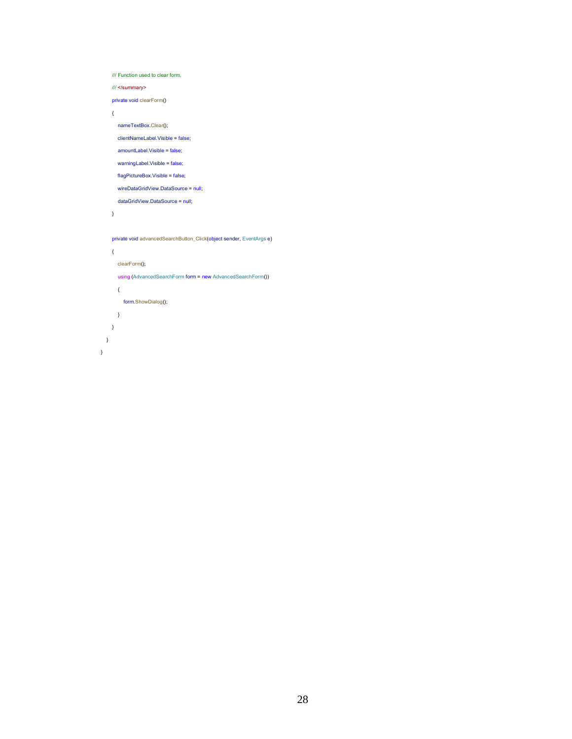```
/// Function used to clear form.
    III </summary>
    private void clearForm()
    \{nameTextBox.Clear();
       clientNameLabel.Visible = false;
       amountLabel.Visible = false;
       warningLabel.Visible = false;
       flagPictureBox.Visible = false;
       wireDataGridView.DataSource = null;
       dataGridView.DataSource = null;
    \, \,private void advancedSearchButton_Click(object sender, EventArgs e)
    \{clearForm();
       using (AdvancedSearchForm form = new AdvancedSearchForm())
      \langleform.ShowDialog();
      \bar{1}\, \,\, \,\}
```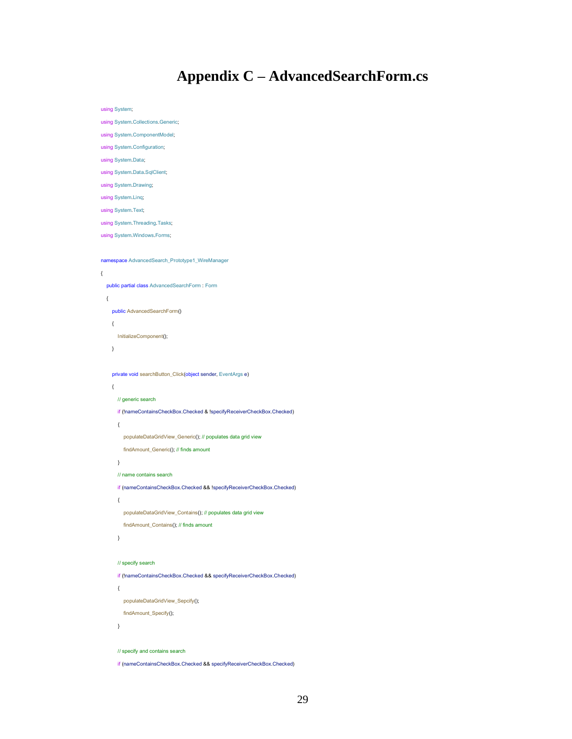## **Appendix C - AdvancedSearchForm.cs**

using System;

using System.Collections.Generic;

using System.ComponentModel;

using System.Configuration;

using System.Data;

using System.Data.SqlClient;

using System.Drawing;

using System.Ling;

 $\{$ 

using System. Text;

using System Threading Tasks;

using System.Windows.Forms;

namespace AdvancedSearch\_Prototype1\_WireManager

```
public partial class AdvancedSearchForm : Form
\left\{ \right.public AdvancedSearchForm()
  \{InitializeComponent();
  \mathcal{E}
```
private void searchButton\_Click(object sender, EventArgs e)

```
\{// generic search
  if (InameContainsCheckBox.Checked & IspecifyReceiverCheckBox.Checked)
  \left\{ \right.populateDataGridView_Generic(); // populates data grid view
    findAmount_Generic(); // finds amount
```
 $\,$   $\,$ 

 $\left\{ \right.$ 

// name contains search

if (nameContainsCheckBox.Checked && IspecifyReceiverCheckBox.Checked)

populateDataGridView\_Contains(); // populates data grid view

```
findAmount_Contains(); // finds amount
```

```
\overline{)}
```

```
// specify search
```
if (InameContainsCheckBox.Checked && specifyReceiverCheckBox.Checked)

 $\left\{ \right.$ 

populateDataGridView\_Sepcify(); findAmount\_Specify();

 $\overline{)}$ 

```
// specify and contains search
```
if (nameContainsCheckBox.Checked && specifyReceiverCheckBox.Checked)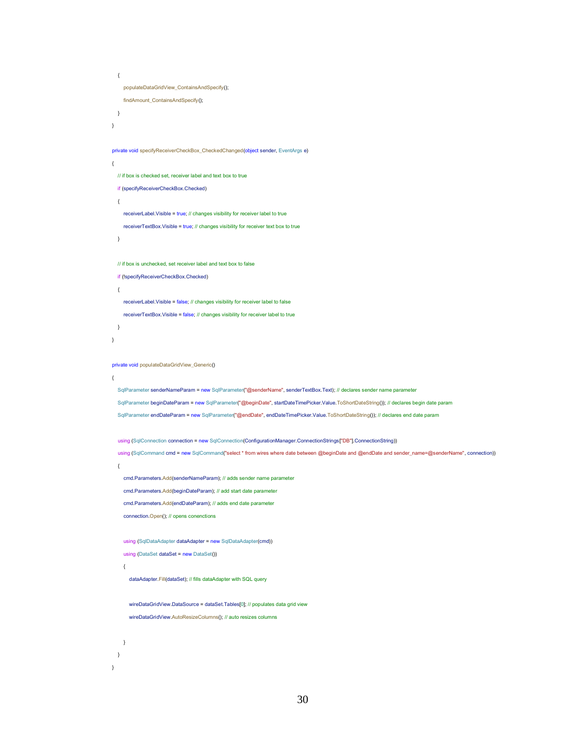```
\left\{ \right.populateDataGridView_ContainsAndSpecify();
    findAmount_ContainsAndSpecify();
  \, \,\}private void specifyReceiverCheckBox_CheckedChanged(object sender, EventArgs e)
\overline{\mathcal{L}}// if box is checked set, receiver label and text box to true
  if (specifyReceiverCheckBox.Checked)
  \{receiverLabel.Visible = true; // changes visibility for receiver label to true
    receiverTextBox.Visible = true; // changes visibility for receiver text box to true
  \mathcal{E}// if box is unchecked, set receiver label and text box to false
  if (!specifyReceiverCheckBox.Checked)
  \left\{ \right.receiverLabel.Visible = false; // changes visibility for receiver label to false
    receiverTextBox.Visible = false; // changes visibility for receiver label to true
  \}\}private void populateDataGridView_Generic()
\left\{ \right.SqlParameter senderNameParam = new SqlParameter("@senderName", senderTextBox.Text); // declares sender name parameter
  SqlParameter beginDateParam = new SqlParameter("@beginDate", startDateTimePicker.Value.ToShortDateString()); // declares begin date param
  SqlParameter endDateParam = new SqlParameter("@endDate", endDateTimePicker.Value.ToShortDateString()); // declares end date param
  using (SqlConnection connection = new SqlConnection(ConfigurationManager.ConnectionStrings["DB"].ConnectionString))
   using (SqlCommand cmd = new SqlCommand("select * from wires where date between @beginDate and @endDate and sender_name=@senderName", connection))
  \left\{ \right.cmd.Parameters.Add(senderNameParam); // adds sender name parameter
     cmd.Parameters.Add(beginDateParam); // add start date parameter
     cmd.Parameters.Add(endDateParam); // adds end date parameter
    connection.Open(); // opens conenctions
     using (SqlDataAdapter dataAdapter = new SqlDataAdapter(cmd))
     using (DataSet dataSet = new DataSet())
     \overline{\mathbf{f}}dataAdapter.Fill(dataSet); // fills dataAdapter with SQL query
       wireDataGridView.DataSource = dataSet.Tables[0]; // populates data grid view
       wireDataGridView.AutoResizeColumns(); // auto resizes columns
    \, \,\overline{\phantom{a}}
```

```
30
```
 $\overline{\phantom{a}}$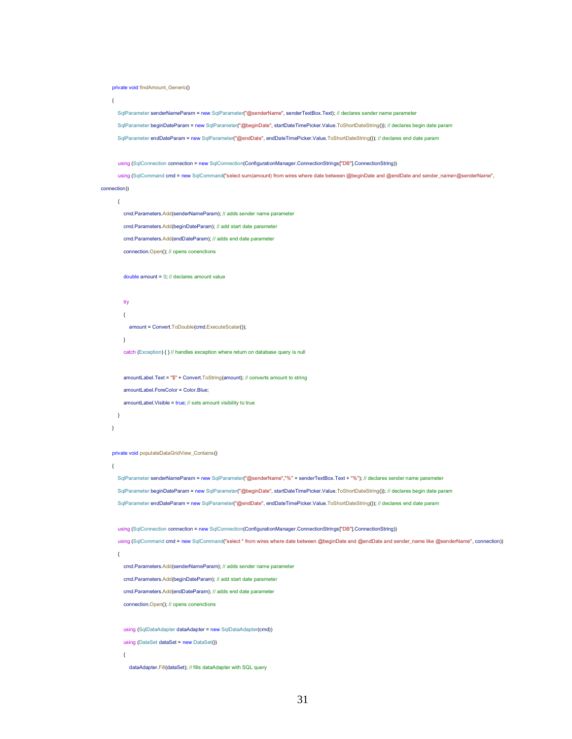```
private void findAmount_Generic()
```

```
\left\{ \right.
```
SqlParameter senderNameParam = new SqlParameter("@senderName", senderTextBox.Text); // declares sender name parameter

SqlParameter beginDateParam = new SqlParameter("@beginDate", startDateTimePicker.Value.ToShortDateString()); // declares begin date param

SqlParameter endDateParam = new SqlParameter("@endDate", endDateTimePicker.Value.ToShortDateString()); // declares end date param

using (SqlConnection connection = new SqlConnection(ConfigurationManager.ConnectionStrings["DB"].ConnectionString))

using (SqlCommand cmd = new SqlCommand("select sum(amount) from wires where date between @beginDate and @endDate and sender\_name=@senderName", connection))

 $\{$ 

cmd.Parameters.Add(senderNameParam); // adds sender name parameter

cmd.Parameters.Add(beginDateParam); // add start date parameter

cmd.Parameters.Add(endDateParam); // adds end date parameter

connection.Open(); // opens conenctions

double amount =  $0$ ; // declares amount value

```
t_{IV}\left\{ \right.
```
 $\overline{\phantom{a}}$ 

amount = Convert.ToDouble(cmd.ExecuteScalar());

catch (Exception) { } // handles exception where return on database query is null

amountLabel.Text = "\$" + Convert.ToString(amount); // converts amount to string

amountLabel.ForeColor = Color.Blue:

amountLabel.Visible = true: // sets amount visibility to true

```
\lambda
```
private void populateDataGridView\_Contains()

 $\rightarrow$ 

SqlParameter senderNameParam = new SqlParameter("@senderName","%" + senderTextBox.Text + "%"); // declares sender name parameter SqlParameter beginDateParam = new SqlParameter("@beginDate", startDateTimePicker.Value.ToShortDateString()); // declares begin date param SqlParameter endDateParam = new SqlParameter("@endDate", endDateTimePicker.Value.ToShortDateString()); // declares end date param

using (SqlConnection connection = new SqlConnection(ConfigurationManager.ConnectionStrings["DB"].ConnectionString))

using (SqlCommand cmd = new SqlCommand("select \* from wires where date between @beginDate and @endDate and sender\_name like @senderName", connection))  $\overline{\mathbf{f}}$ 

cmd.Parameters.Add(senderNameParam); // adds sender name parameter

cmd.Parameters.Add(beginDateParam); // add start date parameter

cmd.Parameters.Add(endDateParam); // adds end date parameter

connection.Open(); // opens conenctions

using (SqlDataAdapter dataAdapter = new SqlDataAdapter(cmd))

using (DataSet dataSet = new DataSet())

#### $\left\{ \right.$

dataAdapter.Fill(dataSet); // fills dataAdapter with SQL query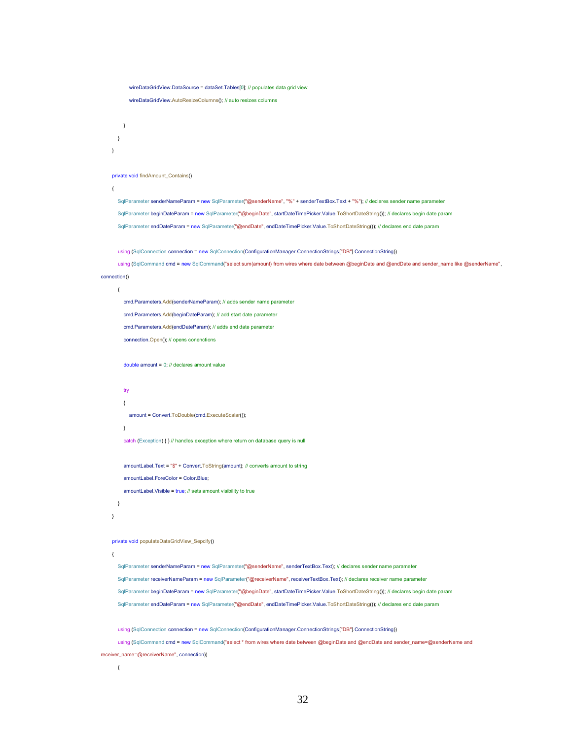```
wireDataGridView.DataSource = dataSet.Tables[0]; // populates data grid view
```

```
wireDataGridView.AutoResizeColumns(); // auto resizes columns
```

```
\overline{\phantom{a}}\overline{\mathbf{y}}\}
```
#### private void findAmount\_Contains()

 $\epsilon$ 

SqlParameter senderNameParam = new SqlParameter("@senderName", "%" + senderTextBox.Text + "%"); // declares sender name parameter SqlParameter beginDateParam = new SqlParameter("@beginDate", startDateTimePicker.Value.ToShortDateString()); // declares begin date param SqlParameter endDateParam = new SqlParameter("@endDate", endDateTimePicker.Value.ToShortDateString()); // declares end date param

using (SqlConnection connection = new SqlConnection(ConfigurationManager.ConnectionStrings["DB"].ConnectionString))

using (SqlCommand cmd = new SqlCommand("select sum(amount) from wires where date between @beginDate and @endDate and sender\_name like @senderName", connection))

## $\left\{ \right.$

cmd.Parameters.Add(senderNameParam): // adds sender name parameter cmd.Parameters.Add(beginDateParam); // add start date parameter cmd.Parameters.Add(endDateParam); // adds end date parameter connection.Open(); // opens conenctions

double amount =  $0$ ; // declares amount value

### $t_{IV}$  $\left\{ \right.$

amount = Convert.ToDouble(cmd.ExecuteScalar()):

 $\lambda$ 

catch (Exception) { } // handles exception where return on database query is null

amountLabel.Text = "\$" + Convert.ToString(amount); // converts amount to string

amountLabel.ForeColor = Color.Blue;

amountLabel.Visible = true; // sets amount visibility to true

### $\lambda$  $\rightarrow$

#### private void populateDataGridView\_Sepcify()

 $\{$ 

SqlParameter senderNameParam = new SqlParameter("@senderName", senderTextBox.Text); // declares sender name parameter SqlParameter receiverNameParam = new SqlParameter("@receiverName", receiverTextBox.Text); // declares receiver name parameter SqlParameter beginDateParam = new SqlParameter("@beginDate", startDateTimePicker.Value.ToShortDateString()); // declares begin date param SqlParameter endDateParam = new SqlParameter("@endDate", endDateTimePicker.Value.ToShortDateString()); // declares end date param

using (SalConnection connection = new SalConnection(ConfigurationManager,ConnectionStrings["DB"].ConnectionString))

using (SqlCommand cmd = new SqlCommand("select \* from wires where date between @beginDate and @endDate and sender\_name=@senderName and receiver\_name=@receiverName", connection))

#### $\{$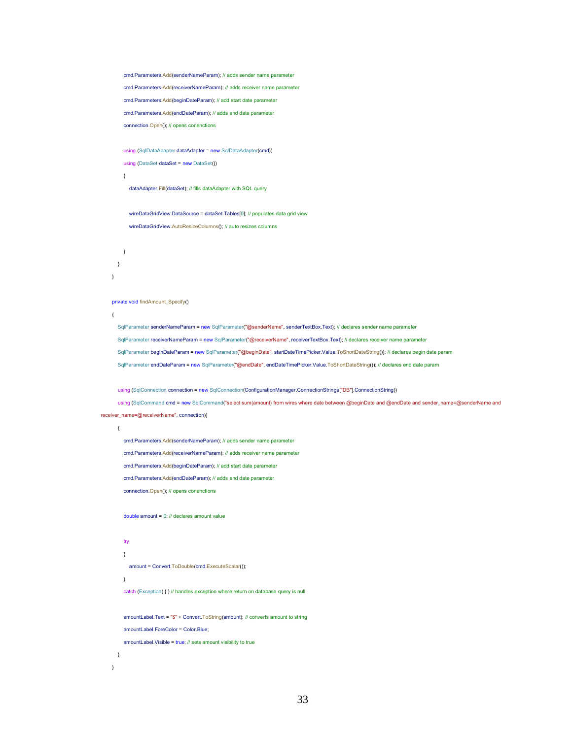```
cmd.Parameters.Add(senderNameParam): // adds sender name parameter
         cmd.Parameters.Add(receiverNameParam); // adds receiver name parameter
         cmd.Parameters.Add(beginDateParam); // add start date parameter
         cmd.Parameters.Add(endDateParam); // adds end date parameter
         connection.Open(); // opens conenctions
         using (SqlDataAdapter dataAdapter = new SqlDataAdapter(cmd))
         using (DataSet dataSet = new DataSet())
         \left\{ \right.dataAdapter.Fill(dataSet); // fills dataAdapter with SQL query
           wireDataGridView.DataSource = dataSet.Tables[0]; // populates data grid view
           wireDataGridView.AutoResizeColumns(); // auto resizes columns
        \rightarrow\overline{ }\rightarrowprivate void findAmount Specify()
    \{SqlParameter senderNameParam = new SqlParameter("@senderName", senderTextBox.Text); // declares sender name parameter
      SqlParameter receiverNameParam = new SqlParameter("@receiverName", receiverTextBox.Text); // declares receiver name parameter
      SqlParameter beginDateParam = new SqlParameter("@beginDate", startDateTimePicker.Value.ToShortDateString()); // declares begin date param
      SqlParameter endDateParam = new SqlParameter("@endDate", endDateTimePicker.Value.ToShortDateString()); // declares end date param
      using (SqlConnection connection = new SqlConnection(ConfigurationManager.ConnectionStrings["DB"].ConnectionString))
      using (SqlCommand cmd = new SqlCommand("select sum(amount) from wires where date between @beginDate and @endDate and sender_name=@senderName and
receiver_name=@receiverName", connection))
      \{cmd.Parameters.Add(senderNameParam); // adds sender name parameter
         cmd.Parameters.Add(receiverNameParam); // adds receiver name parameter
```
cmd.Parameters.Add(beginDateParam); // add start date parameter cmd.Parameters.Add(endDateParam); // adds end date parameter

connection.Open(); // opens conenctions

double amount =  $0$ : // declares amount value

### try  $\{$

 $\overline{\phantom{a}}$ 

amount = Convert.ToDouble(cmd.ExecuteScalar());

 $\overline{ }$ 

catch (Exception) { } // handles exception where return on database query is null

```
amountLabel.Text = "$" + Convert.ToString(amount); // converts amount to string
   amountLabel.ForeColor = Color.Blue:
   amountLabel.Visible = true; // sets amount visibility to true
\overline{\phantom{a}}
```
33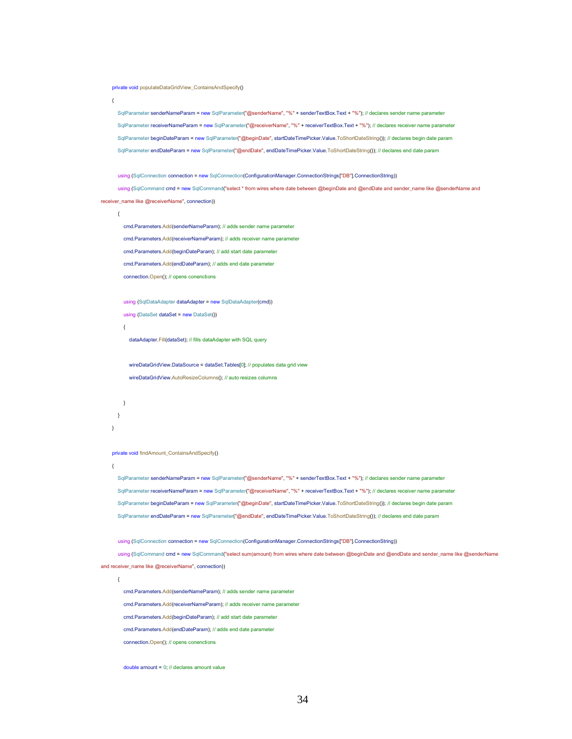private void populateDataGridView\_ContainsAndSpecify()

 $\left\{ \right.$ 

SqlParameter senderNameParam = new SqlParameter("@senderName", "%" + senderTextBox.Text + "%"); // declares sender name parameter SqlParameter receiverNameParam = new SqlParameter("@receiverName", "%" + receiverTextBox.Text + "%"); // declares receiver name parameter SqlParameter beginDateParam = new SqlParameter("@beginDate", startDateTimePicker.Value.ToShortDateString()); // declares begin date param SqlParameter endDateParam = new SqlParameter("@endDate", endDateTimePicker.Value.ToShortDateString()); // declares end date param

using (SqlConnection connection = new SqlConnection(ConfigurationManager.ConnectionStrings["DB"].ConnectionString))

using (SqlCommand cmd = new SqlCommand("select \* from wires where date between @beginDate and @endDate and sender\_name like @senderName and receiver\_name like @receiverName", connection))

 $\left\{ \right.$ 

 $\left\{ \right.$ 

cmd.Parameters.Add(senderNameParam); // adds sender name parameter cmd.Parameters.Add(receiverNameParam); // adds receiver name parameter cmd.Parameters.Add(beginDateParam); // add start date parameter cmd.Parameters.Add(endDateParam); // adds end date parameter

connection.Open(); // opens conenctions

using (SqlDataAdapter dataAdapter = new SqlDataAdapter(cmd))

using (DataSet dataSet =  $new$  DataSet())

dataAdapter.Fill(dataSet); // fills dataAdapter with SQL query

wireDataGridView.DataSource = dataSet.Tables[0]; // populates data grid view wireDataGridView.AutoResizeColumns(); // auto resizes columns

```
\rightarrow\lambda\rightarrow
```
#### private void findAmount\_ContainsAndSpecify()

SqlParameter senderNameParam = new SqlParameter("@senderName", "%" + senderTextBox.Text + "%"); // declares sender name parameter SqlParameter receiverNameParam = new SqlParameter("@receiverName", "%" + receiverTextBox.Text + "%"); // declares receiver name parameter SqlParameter beginDateParam = new SqlParameter("@beginDate", startDateTimePicker.Value.ToShortDateString()); // declares begin date param SqlParameter endDateParam = new SqlParameter("@endDate", endDateTimePicker.Value.ToShortDateString()); // declares end date param

using (SqlConnection connection = new SqlConnection(ConfigurationManager.ConnectionStrings["DB"].ConnectionString))

using (SqlCommand cmd = new SqlCommand("select sum(amount) from wires where date between @beginDate and @endDate and sender\_name like @senderName

#### and receiver\_name like @receiverName", connection))

 $\left\{ \right.$ 

cmd.Parameters.Add(senderNameParam); // adds sender name parameter

cmd.Parameters.Add(receiverNameParam); // adds receiver name parameter

cmd.Parameters.Add(beginDateParam); // add start date parameter

cmd.Parameters.Add(endDateParam); // adds end date parameter

connection.Open(); // opens conenctions

double amount =  $0$ ; // declares amount value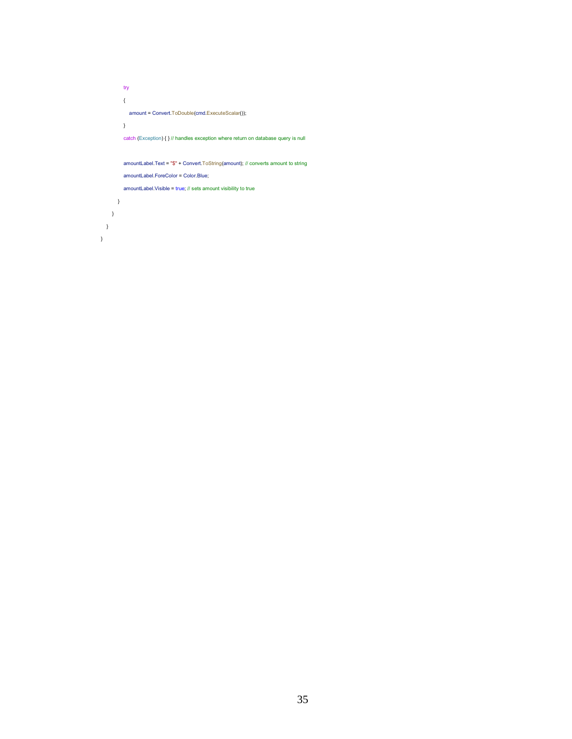$try$  $\{$ amount = Convert.ToDouble(cmd.ExecuteScalar());  $\,$   $\,$ catch (Exception) { } // handles exception where return on database query is null amountLabel.Text = "\$" + Convert.ToString(amount); // converts amount to string amountLabel.ForeColor = Color.Blue; amountLabel.Visible = true; // sets amount visibility to true  $\rightarrow$ 

 $\,$   $\,$   $\,$  $\,$   $\,$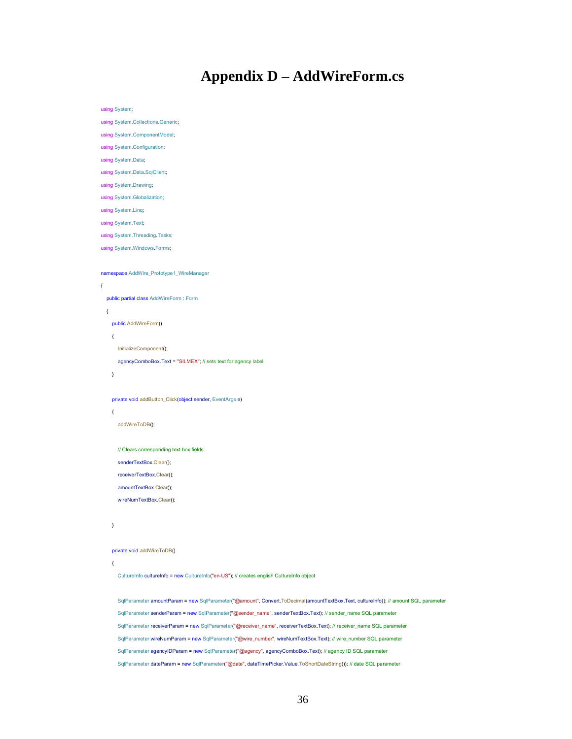## **Appendix D - AddWireForm.cs**

using System;

using System.Collections.Generic;

using System.ComponentModel;

using System.Configuration;

using System.Data;

using System.Data.SqlClient;

using System.Drawing;

using System.Globalization;

using System.Ling;

using System. Text;

using System. Threading. Tasks;

using System. Windows. Forms;

namespace AddWire\_Prototype1\_WireManager

```
\{
```
public partial class AddWireForm: Form

 $\left\{ \right.$ 

public AddWireForm()

 $\{$ 

InitializeComponent();

agencyComboBox.Text = "SILMEX"; // sets text for agency label

 $\}$ 

private void addButton\_Click(object sender, EventArgs e)

```
\{
```
addWireToDB();

// Clears corresponding text box fields.

senderTextBox.Clear();

receiverTextBox.Clear();

amountTextBox.Clear();

wireNumTextBox.Clear();

```
\}
```
private void addWireToDB()

 $\overline{f}$ 

CultureInfo cultureInfo = new CultureInfo("en-US"); // creates english CultureInfo object

SqlParameter amountParam = new SqlParameter("@amount", Convert.ToDecimal(amountTextBox.Text, cultureInfo)); // amount SQL parameter SqlParameter senderParam = new SqlParameter("@sender\_name", senderTextBox.Text); // sender\_name SQL parameter SqlParameter receiverParam = new SqlParameter("@receiver\_name", receiverTextBox.Text); // receiver\_name SQL parameter SqlParameter wireNumParam = new SqlParameter("@wire number", wireNumTextBox.Text); // wire number SQL parameter SqlParameter agencyIDParam = new SqlParameter("@agency", agencyComboBox.Text); // agency ID SQL parameter SqlParameter dateParam = new SqlParameter("@date", dateTimePicker.Value.ToShortDateString()); // date SQL parameter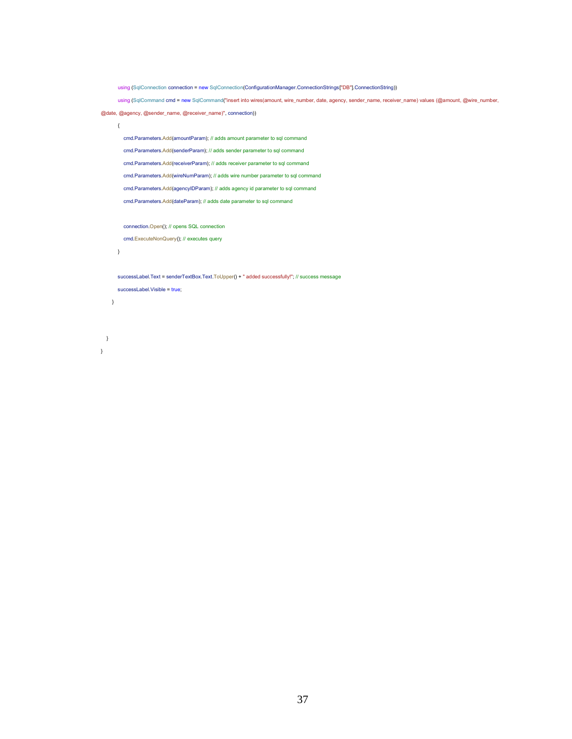```
using (SqlConnection connection = new SqlConnection(ConfigurationManager.ConnectionStrings["DB"].ConnectionString))
      using (SqlCommand cmd = new SqlCommand("insert into wires(amount, wire_number, date, agency, sender_name, receiver_name) values (@amount, @wire_number,
@date, @agency, @sender_name, @receiver_name)", connection))
      \left\{ \right.cmd.Parameters.Add(amountParam); // adds amount parameter to sql command
        cmd.Parameters.Add(senderParam); // adds sender parameter to sql command
        cmd.Parameters.Add(receiverParam); // adds receiver parameter to sql command
        cmd.Parameters.Add(wireNumParam); // adds wire number parameter to sql command
        cmd.Parameters.Add(agencyIDParam); // adds agency id parameter to sql command
        cmd.Parameters.Add(dateParam); // adds date parameter to sql command
        connection.Open(); // opens SQL connection
        cmd.ExecuteNonQuery(); // executes query
      \overline{)}successLabel.Text = senderTextBox.Text.ToUpper() + " added successfully!"; // success message
      successLabel.Visible = true;
    \, }
 \}
```

```
\overline{\phantom{a}}
```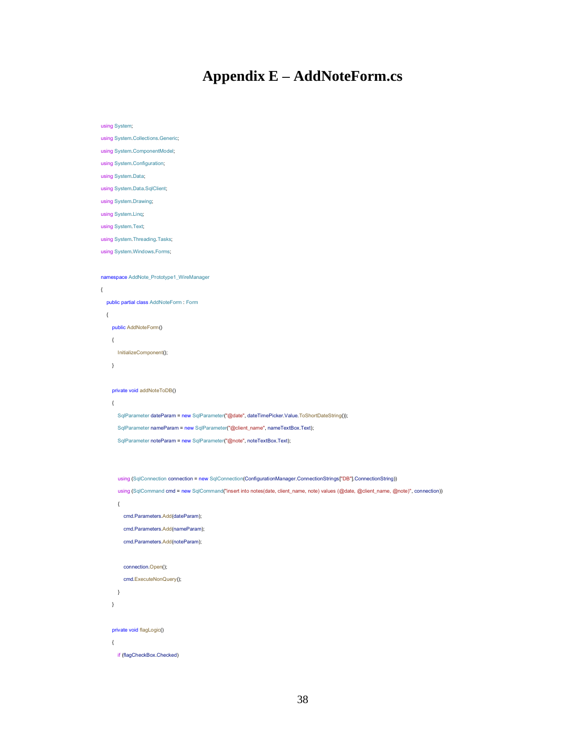## **Appendix E - AddNoteForm.cs**

```
using System;
using System.Collections.Generic;
using System.ComponentModel;
using System.Configuration;
using System.Data;
using System.Data.SqlClient;
using System Drawing;
using System.Linq;
using System. Text;
using System Threading Tasks;
using System. Windows. Forms;
namespace AddNote_Prototype1_WireManager
\left\{ \right.public partial class AddNoteForm : Form
  \{public AddNoteForm()
     \{InitializeComponent();
    \overline{\phantom{a}}private void addNoteToDB()
     \left\{ \right.SqlParameter dateParam = new SqlParameter("@date", dateTimePicker.Value.ToShortDateString());
       SqlParameter nameParam = new SqlParameter("@client_name", nameTextBox.Text);
       SqlParameter noteParam = new SqlParameter("@note", noteTextBox.Text);
       using (SqlConnection connection = new SqlConnection(ConfigurationManager.ConnectionStrings["DB"].ConnectionString))
       using (SqlCommand cmd = new SqlCommand("insert into notes(date, client_name, note) values (@date, @client_name, @note)", connection))
       \{cmd.Parameters.Add(dateParam);
         cmd.Parameters.Add(nameParam);
         cmd.Parameters.Add(noteParam);
         connection.Open();
         cmd.ExecuteNonQuery();
       \mathcal{E}\, }
     private void flagLogic()
     \{if (flagCheckBox.Checked)
```